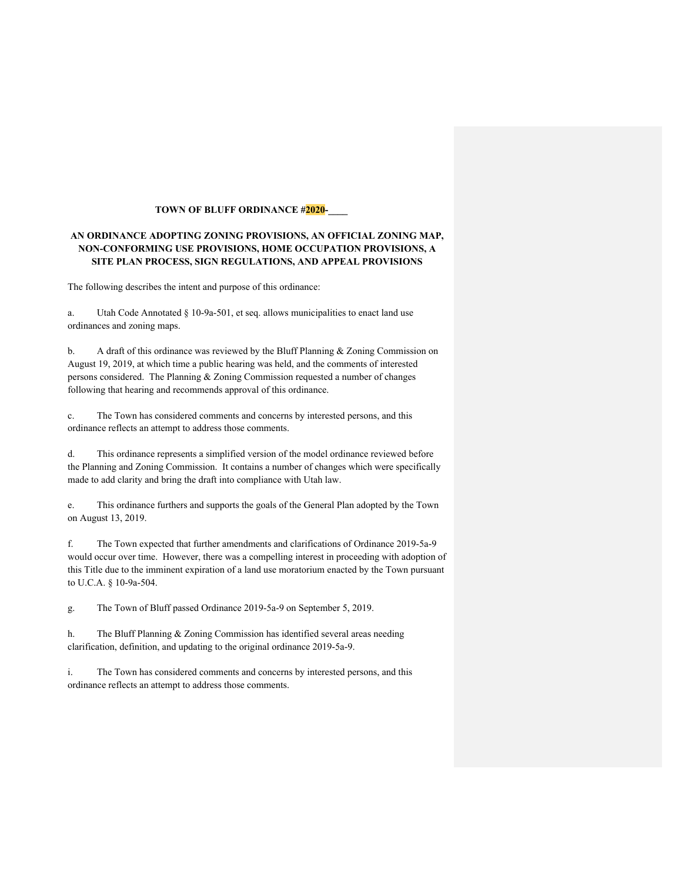# **TOWN OF BLUFF ORDINANCE #2020-**

# **AN ORDINANCE ADOPTING ZONING PROVISIONS, AN OFFICIAL ZONING MAP, NON-CONFORMING USE PROVISIONS, HOME OCCUPATION PROVISIONS, A SITE PLAN PROCESS, SIGN REGULATIONS, AND APPEAL PROVISIONS**

The following describes the intent and purpose of this ordinance:

a. Utah Code Annotated § 10-9a-501, et seq. allows municipalities to enact land use ordinances and zoning maps.

b. A draft of this ordinance was reviewed by the Bluff Planning & Zoning Commission on August 19, 2019, at which time a public hearing was held, and the comments of interested persons considered. The Planning & Zoning Commission requested a number of changes following that hearing and recommends approval of this ordinance.

c. The Town has considered comments and concerns by interested persons, and this ordinance reflects an attempt to address those comments.

d. This ordinance represents a simplified version of the model ordinance reviewed before the Planning and Zoning Commission. It contains a number of changes which were specifically made to add clarity and bring the draft into compliance with Utah law.

e. This ordinance furthers and supports the goals of the General Plan adopted by the Town on August 13, 2019.

f. The Town expected that further amendments and clarifications of Ordinance 2019-5a-9 would occur over time. However, there was a compelling interest in proceeding with adoption of this Title due to the imminent expiration of a land use moratorium enacted by the Town pursuant to U.C.A. § 10-9a-504.

g. The Town of Bluff passed Ordinance 2019-5a-9 on September 5, 2019.

h. The Bluff Planning & Zoning Commission has identified several areas needing clarification, definition, and updating to the original ordinance 2019-5a-9.

i. The Town has considered comments and concerns by interested persons, and this ordinance reflects an attempt to address those comments.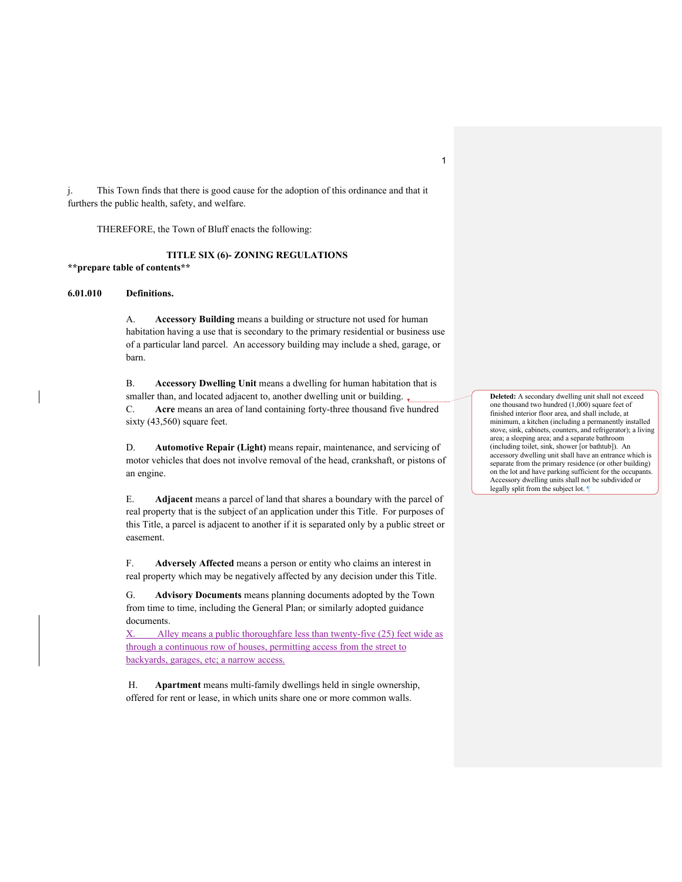j. This Town finds that there is good cause for the adoption of this ordinance and that it furthers the public health, safety, and welfare.

THEREFORE, the Town of Bluff enacts the following:

### **TITLE SIX (6)- ZONING REGULATIONS**

**\*\*prepare table of contents\*\***

# **6.01.010 Definitions.**

A. **Accessory Building** means a building or structure not used for human habitation having a use that is secondary to the primary residential or business use of a particular land parcel. An accessory building may include a shed, garage, or barn.

B. **Accessory Dwelling Unit** means a dwelling for human habitation that is smaller than, and located adjacent to, another dwelling unit or building. C. **Acre** means an area of land containing forty-three thousand five hundred sixty (43,560) square feet.

D. **Automotive Repair (Light)** means repair, maintenance, and servicing of motor vehicles that does not involve removal of the head, crankshaft, or pistons of an engine.

E. **Adjacent** means a parcel of land that shares a boundary with the parcel of real property that is the subject of an application under this Title. For purposes of this Title, a parcel is adjacent to another if it is separated only by a public street or easement.

F. **Adversely Affected** means a person or entity who claims an interest in real property which may be negatively affected by any decision under this Title.

G. **Advisory Documents** means planning documents adopted by the Town from time to time, including the General Plan; or similarly adopted guidance documents.

Alley means a public thoroughfare less than twenty-five (25) feet wide as through a continuous row of houses, permitting access from the street to backyards, garages, etc; a narrow access.

H. **Apartment** means multi-family dwellings held in single ownership, offered for rent or lease, in which units share one or more common walls.

**Deleted:** A secondary dwelling unit shall not exceed one thousand two hundred (1,000) square feet of finished interior floor area, and shall include, at minimum, a kitchen (including a permanently installed stove, sink, cabinets, counters, and refrigerator); a living area; a sleeping area; and a separate bathroom (including toilet, sink, shower [or bathtub]). An accessory dwelling unit shall have an entrance which is separate from the primary residence (or other building) on the lot and have parking sufficient for the occupants. Accessory dwelling units shall not be subdivided or legally split from the subject lot.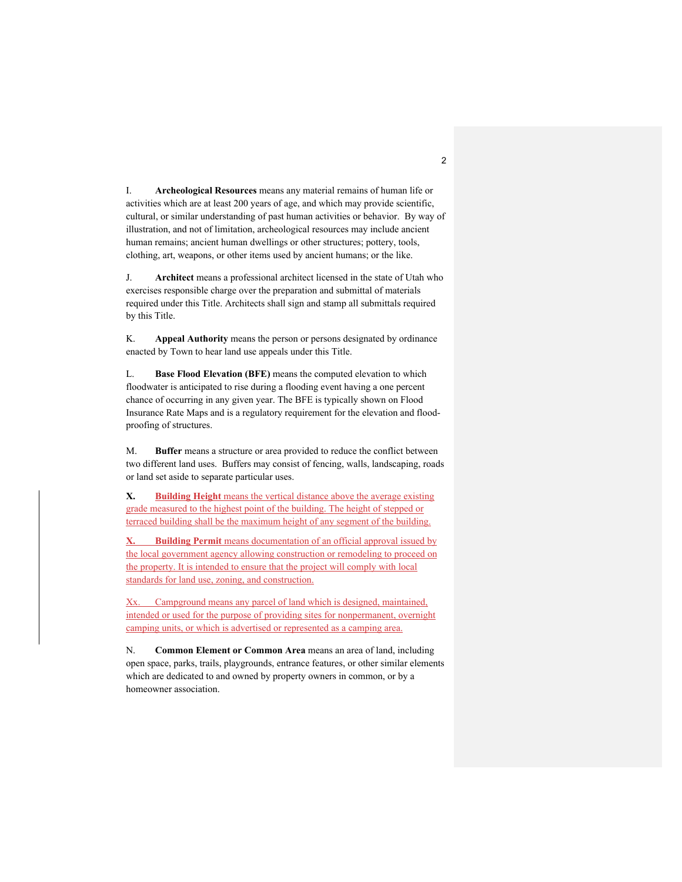I. **Archeological Resources** means any material remains of human life or activities which are at least 200 years of age, and which may provide scientific, cultural, or similar understanding of past human activities or behavior. By way of illustration, and not of limitation, archeological resources may include ancient human remains; ancient human dwellings or other structures; pottery, tools, clothing, art, weapons, or other items used by ancient humans; or the like.

J. **Architect** means a professional architect licensed in the state of Utah who exercises responsible charge over the preparation and submittal of materials required under this Title. Architects shall sign and stamp all submittals required by this Title.

K. **Appeal Authority** means the person or persons designated by ordinance enacted by Town to hear land use appeals under this Title.

L. **Base Flood Elevation (BFE)** means the computed elevation to which floodwater is anticipated to rise during a flooding event having a one percent chance of occurring in any given year. The BFE is typically shown on Flood Insurance Rate Maps and is a regulatory requirement for the elevation and floodproofing of structures.

M. **Buffer** means a structure or area provided to reduce the conflict between two different land uses. Buffers may consist of fencing, walls, landscaping, roads or land set aside to separate particular uses.

**X. Building Height** means the vertical distance above the average existing grade measured to the highest point of the building. The height of stepped or terraced building shall be the maximum height of any segment of the building.

**X. Building Permit** means documentation of an official approval issued by the local government agency allowing construction or remodeling to proceed on the property. It is intended to ensure that the project will comply with local standards for land use, zoning, and construction.

Campground means any parcel of land which is designed, maintained, intended or used for the purpose of providing sites for nonpermanent, overnight camping units, or which is advertised or represented as a camping area.

N. **Common Element or Common Area** means an area of land, including open space, parks, trails, playgrounds, entrance features, or other similar elements which are dedicated to and owned by property owners in common, or by a homeowner association.

 $\overline{2}$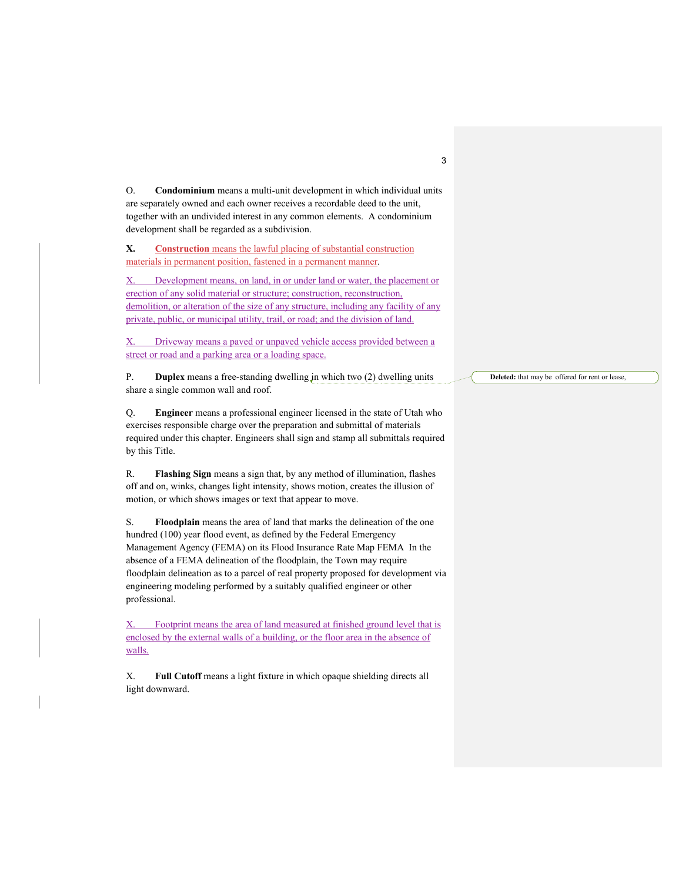O. **Condominium** means a multi-unit development in which individual units are separately owned and each owner receives a recordable deed to the unit, together with an undivided interest in any common elements. A condominium development shall be regarded as a subdivision.

**X. Construction** means the lawful placing of substantial construction materials in permanent position, fastened in a permanent manner.

X. Development means, on land, in or under land or water, the placement or erection of any solid material or structure; construction, reconstruction, demolition, or alteration of the size of any structure, including any facility of any private, public, or municipal utility, trail, or road; and the division of land.

X. Driveway means a paved or unpaved vehicle access provided between a street or road and a parking area or a loading space.

P. **Duplex** means a free-standing dwelling in which two (2) dwelling units share a single common wall and roof.

Q. **Engineer** means a professional engineer licensed in the state of Utah who exercises responsible charge over the preparation and submittal of materials required under this chapter. Engineers shall sign and stamp all submittals required by this Title.

R. **Flashing Sign** means a sign that, by any method of illumination, flashes off and on, winks, changes light intensity, shows motion, creates the illusion of motion, or which shows images or text that appear to move.

S. **Floodplain** means the area of land that marks the delineation of the one hundred (100) year flood event, as defined by the Federal Emergency Management Agency (FEMA) on its Flood Insurance Rate Map FEMA In the absence of a FEMA delineation of the floodplain, the Town may require floodplain delineation as to a parcel of real property proposed for development via engineering modeling performed by a suitably qualified engineer or other professional.

X. Footprint means the area of land measured at finished ground level that is enclosed by the external walls of a building, or the floor area in the absence of walls.

X. **Full Cutoff** means a light fixture in which opaque shielding directs all light downward.

**Deleted:** that may be offered for rent or lease,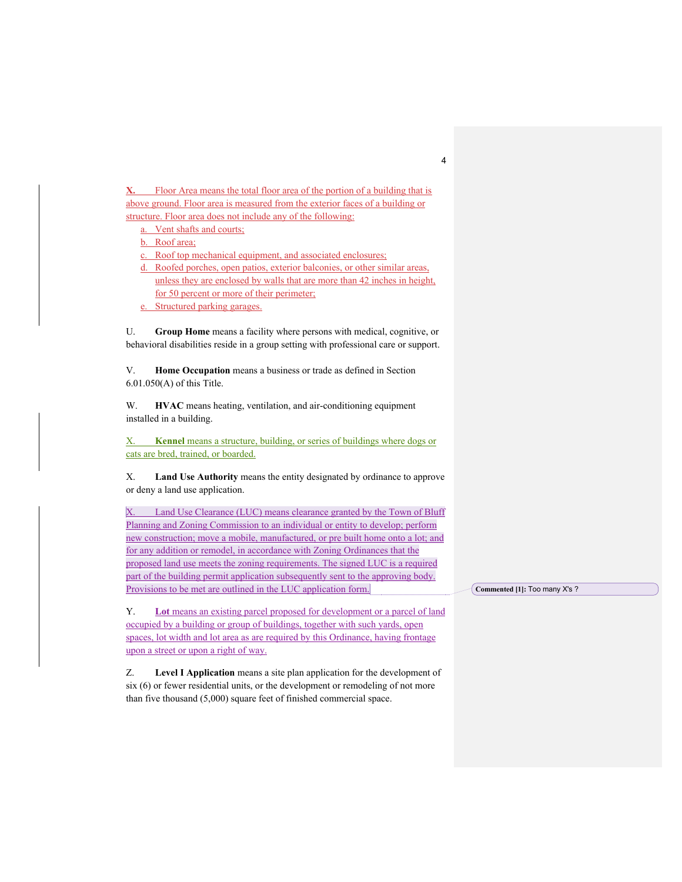**X.** Floor Area means the total floor area of the portion of a building that is above ground. Floor area is measured from the exterior faces of a building or structure. Floor area does not include any of the following:

a. Vent shafts and courts;

b. Roof area;

c. Roof top mechanical equipment, and associated enclosures;

- d. Roofed porches, open patios, exterior balconies, or other similar areas, unless they are enclosed by walls that are more than 42 inches in height, for 50 percent or more of their perimeter;
- e. Structured parking garages.

U. **Group Home** means a facility where persons with medical, cognitive, or behavioral disabilities reside in a group setting with professional care or support.

V. **Home Occupation** means a business or trade as defined in Section 6.01.050(A) of this Title.

W. **HVAC** means heating, ventilation, and air-conditioning equipment installed in a building.

X. **Kennel** means a structure, building, or series of buildings where dogs or cats are bred, trained, or boarded.

X. **Land Use Authority** means the entity designated by ordinance to approve or deny a land use application.

X. Land Use Clearance (LUC) means clearance granted by the Town of Bluff Planning and Zoning Commission to an individual or entity to develop; perform new construction; move a mobile, manufactured, or pre built home onto a lot; and for any addition or remodel, in accordance with Zoning Ordinances that the proposed land use meets the zoning requirements. The signed LUC is a required part of the building permit application subsequently sent to the approving body. Provisions to be met are outlined in the LUC application form.

Y. **Lot** means an existing parcel proposed for development or a parcel of land occupied by a building or group of buildings, together with such yards, open spaces, lot width and lot area as are required by this Ordinance, having frontage upon a street or upon a right of way.

Z. **Level I Application** means a site plan application for the development of six (6) or fewer residential units, or the development or remodeling of not more than five thousand (5,000) square feet of finished commercial space.

**Commented [1]:** Too many X's ?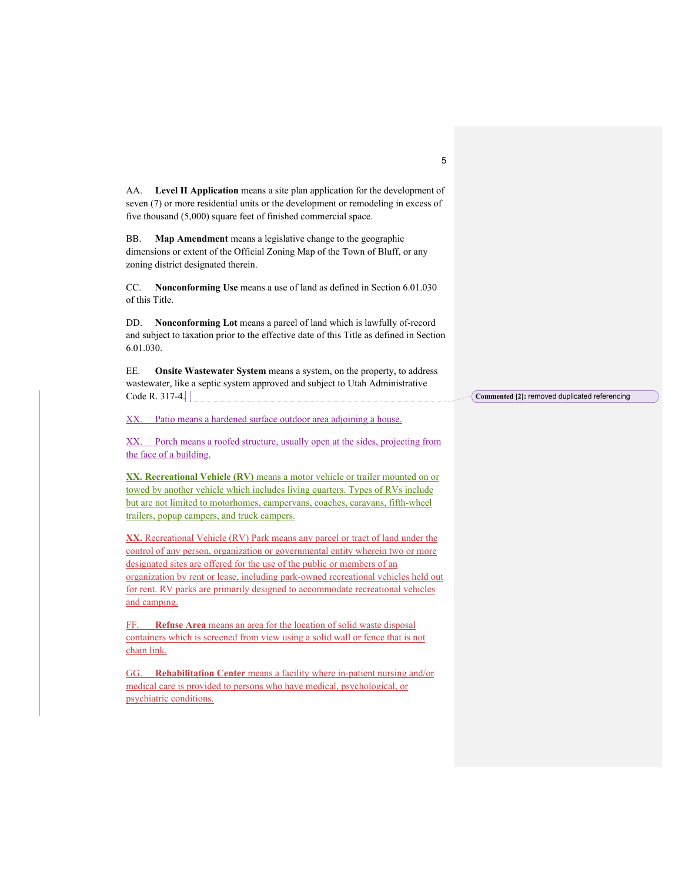| AA. Level II Application means a site plan application for the development of<br>seven (7) or more residential units or the development or remodeling in excess of<br>five thousand (5,000) square feet of finished commercial space.                                                                                                                                                                                               |                                               |
|-------------------------------------------------------------------------------------------------------------------------------------------------------------------------------------------------------------------------------------------------------------------------------------------------------------------------------------------------------------------------------------------------------------------------------------|-----------------------------------------------|
| BB.<br>Map Amendment means a legislative change to the geographic<br>dimensions or extent of the Official Zoning Map of the Town of Bluff, or any<br>zoning district designated therein.                                                                                                                                                                                                                                            |                                               |
| CC.<br>Nonconforming Use means a use of land as defined in Section 6.01.030<br>of this Title.                                                                                                                                                                                                                                                                                                                                       |                                               |
| DD.<br>Nonconforming Lot means a parcel of land which is lawfully of-record<br>and subject to taxation prior to the effective date of this Title as defined in Section<br>6.01.030.                                                                                                                                                                                                                                                 |                                               |
| EE.<br>Onsite Wastewater System means a system, on the property, to address<br>wastewater, like a septic system approved and subject to Utah Administrative<br>Code R. 317-4.                                                                                                                                                                                                                                                       | Commented [2]: removed duplicated referencing |
| Patio means a hardened surface outdoor area adjoining a house.<br>XX.                                                                                                                                                                                                                                                                                                                                                               |                                               |
| XX. Porch means a roofed structure, usually open at the sides, projecting from<br>the face of a building.                                                                                                                                                                                                                                                                                                                           |                                               |
| XX. Recreational Vehicle (RV) means a motor vehicle or trailer mounted on or<br>towed by another vehicle which includes living quarters. Types of RVs include<br>but are not limited to motorhomes, campervans, coaches, caravans, fifth-wheel<br>trailers, popup campers, and truck campers.                                                                                                                                       |                                               |
| XX. Recreational Vehicle (RV) Park means any parcel or tract of land under the<br>control of any person, organization or governmental entity wherein two or more<br>designated sites are offered for the use of the public or members of an<br>organization by rent or lease, including park-owned recreational vehicles held out<br>for rent. RV parks are primarily designed to accommodate recreational vehicles<br>and camping. |                                               |
| Refuse Area means an area for the location of solid waste disposal<br>FF.<br>containers which is screened from view using a solid wall or fence that is not<br>chain link.                                                                                                                                                                                                                                                          |                                               |
| GG. Rehabilitation Center means a facility where in-patient nursing and/or<br>medical care is provided to persons who have medical, psychological, or                                                                                                                                                                                                                                                                               |                                               |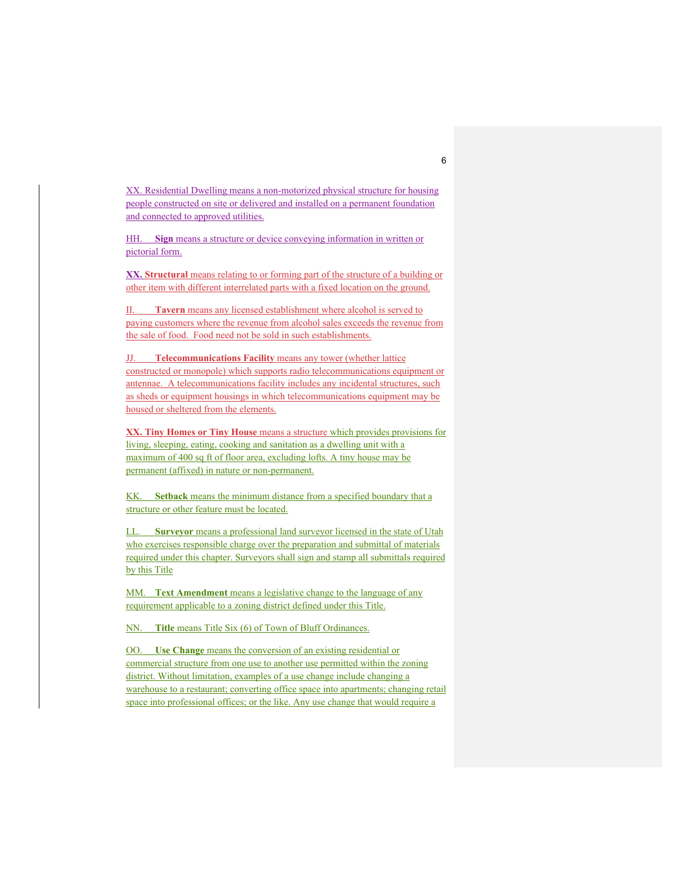XX. Residential Dwelling means a non-motorized physical structure for housing people constructed on site or delivered and installed on a permanent foundation and connected to approved utilities.

HH. **Sign** means a structure or device conveying information in written or pictorial form.

**XX. Structural** means relating to or forming part of the structure of a building or other item with different interrelated parts with a fixed location on the ground.

II. **Tavern** means any licensed establishment where alcohol is served to paying customers where the revenue from alcohol sales exceeds the revenue from the sale of food. Food need not be sold in such establishments.

JJ. **Telecommunications Facility** means any tower (whether lattice constructed or monopole) which supports radio telecommunications equipment or antennae. A telecommunications facility includes any incidental structures, such as sheds or equipment housings in which telecommunications equipment may be housed or sheltered from the elements.

**XX. Tiny Homes or Tiny House** means a structure which provides provisions for living, sleeping, eating, cooking and sanitation as a dwelling unit with a maximum of 400 sq ft of floor area, excluding lofts. A tiny house may be permanent (affixed) in nature or non-permanent.

KK. **Setback** means the minimum distance from a specified boundary that a structure or other feature must be located.

LL. **Surveyor** means a professional land surveyor licensed in the state of Utah who exercises responsible charge over the preparation and submittal of materials required under this chapter. Surveyors shall sign and stamp all submittals required by this Title

MM. **Text Amendment** means a legislative change to the language of any requirement applicable to a zoning district defined under this Title.

NN. **Title** means Title Six (6) of Town of Bluff Ordinances.

OO. **Use Change** means the conversion of an existing residential or commercial structure from one use to another use permitted within the zoning district. Without limitation, examples of a use change include changing a warehouse to a restaurant; converting office space into apartments; changing retail space into professional offices; or the like. Any use change that would require a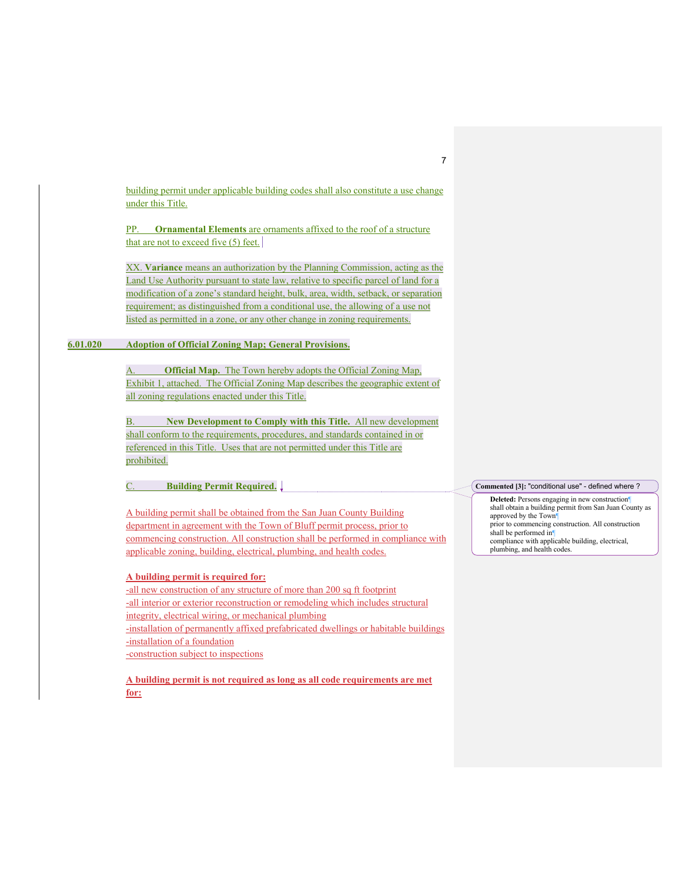building permit under applicable building codes shall also constitute a use change under this Title.

PP. **Ornamental Elements** are ornaments affixed to the roof of a structure that are not to exceed five (5) feet.

XX. **Variance** means an authorization by the Planning Commission, acting as the Land Use Authority pursuant to state law, relative to specific parcel of land for a modification of a zone's standard height, bulk, area, width, setback, or separation requirement; as distinguished from a conditional use, the allowing of a use not listed as permitted in a zone, or any other change in zoning requirements.

# **6.01.020 Adoption of Official Zoning Map; General Provisions.**

A. **Official Map.** The Town hereby adopts the Official Zoning Map, Exhibit 1, attached. The Official Zoning Map describes the geographic extent of all zoning regulations enacted under this Title.

B. **New Development to Comply with this Title.** All new development shall conform to the requirements, procedures, and standards contained in or referenced in this Title. Uses that are not permitted under this Title are prohibited.

C. **Building Permit Required.** 

A building permit shall be obtained from the San Juan County Building department in agreement with the Town of Bluff permit process, prior to commencing construction. All construction shall be performed in compliance with applicable zoning, building, electrical, plumbing, and health codes.

# **A building permit is required for:**

-all new construction of any structure of more than 200 sq ft footprint -all interior or exterior reconstruction or remodeling which includes structural integrity, electrical wiring, or mechanical plumbing -installation of permanently affixed prefabricated dwellings or habitable buildings -installation of a foundation -construction subject to inspections

**A building permit is not required as long as all code requirements are met for:**

#### **Commented [3]:** "conditional use" - defined where ?

**Deleted:** Persons engaging in new construction¶ shall obtain a building permit from San Juan County as approved by the Town¶ prior to commencing construction. All construction shall be performed in compliance with applicable building, electrical, plumbing, and health codes.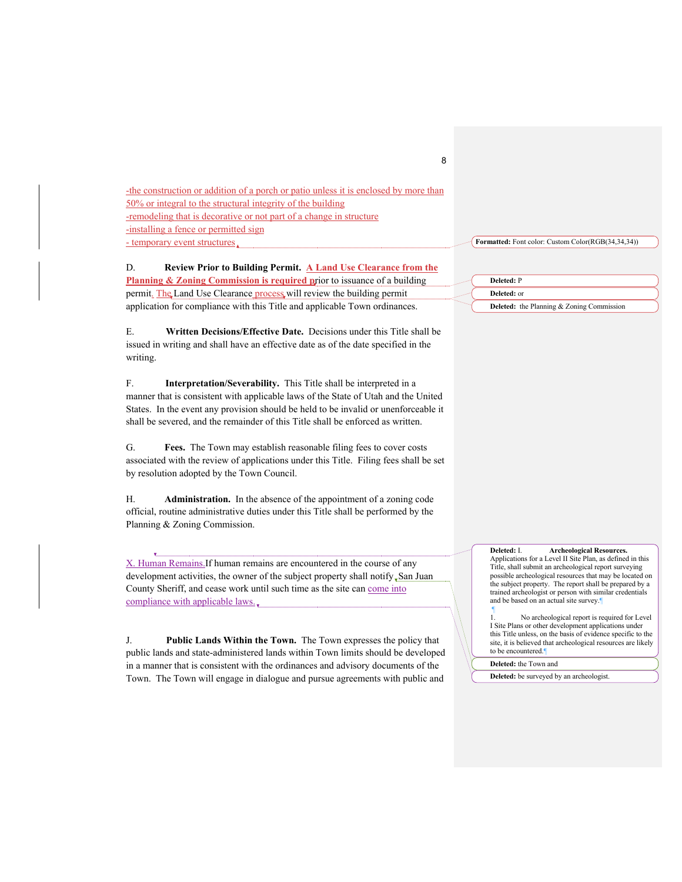-the construction or addition of a porch or patio unless it is enclosed by more than 50% or integral to the structural integrity of the building -remodeling that is decorative or not part of a change in structure -installing a fence or permitted sign - temporary event structures.

D. **Review Prior to Building Permit. A Land Use Clearance from the Planning & Zoning Commission is required prior to issuance of a building** permit. The Land Use Clearance process will review the building permit application for compliance with this Title and applicable Town ordinances.

E. **Written Decisions/Effective Date.** Decisions under this Title shall be issued in writing and shall have an effective date as of the date specified in the writing.

F. **Interpretation/Severability.** This Title shall be interpreted in a manner that is consistent with applicable laws of the State of Utah and the United States. In the event any provision should be held to be invalid or unenforceable it shall be severed, and the remainder of this Title shall be enforced as written.

G. **Fees.** The Town may establish reasonable filing fees to cover costs associated with the review of applications under this Title. Filing fees shall be set by resolution adopted by the Town Council.

H. **Administration.** In the absence of the appointment of a zoning code official, routine administrative duties under this Title shall be performed by the Planning & Zoning Commission.

X. Human Remains.If human remains are encountered in the course of any development activities, the owner of the subject property shall notify, San Juan County Sheriff, and cease work until such time as the site can come into compliance with applicable laws.

J. **Public Lands Within the Town.** The Town expresses the policy that public lands and state-administered lands within Town limits should be developed in a manner that is consistent with the ordinances and advisory documents of the Town. The Town will engage in dialogue and pursue agreements with public and

| Deleted: P |  |  |
|------------|--|--|

**Deleted:** the Planning & Zoning Commission

**Deleted:** or

**Formatted:** Font color: Custom Color(RGB(34,34,34))

8

Applications for a Level II Site Plan, as defined in this Title, shall submit an archeological report surveying possible archeological resources that may be located on the subject property. The report shall be prepared by a trained archeologist or person with similar credentials and be based on an actual site survey.¶ ¶ No archeological report is required for Level

**Deleted:** I. **Archeological Resources.** 

I Site Plans or other development applications under this Title unless, on the basis of evidence specific to the site, it is believed that archeological resources are likely to be encountered.¶

**Deleted:** the Town and

**Deleted:** be surveyed by an archeologist.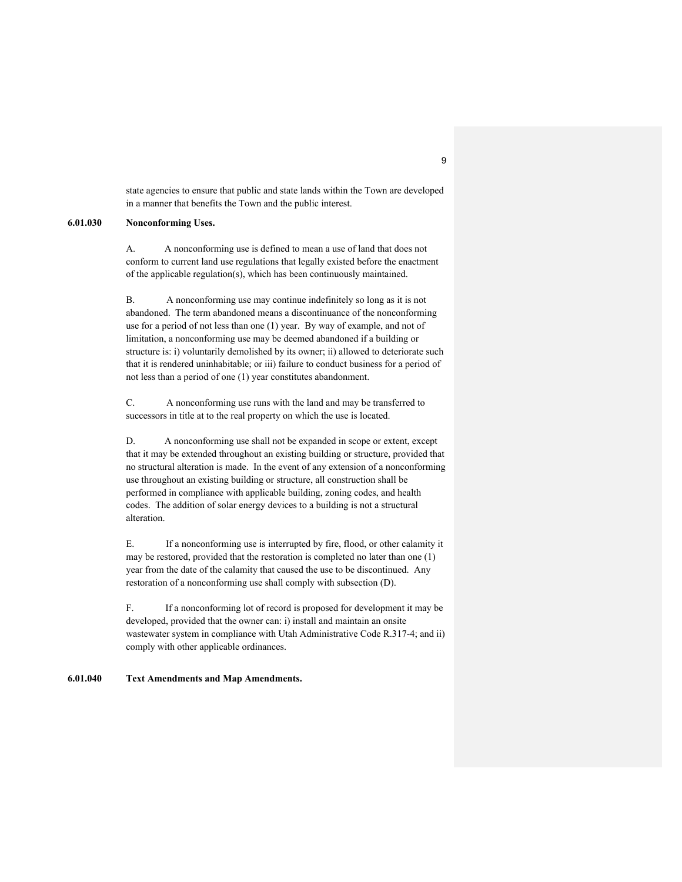state agencies to ensure that public and state lands within the Town are developed in a manner that benefits the Town and the public interest.

#### **6.01.030 Nonconforming Uses.**

A. A nonconforming use is defined to mean a use of land that does not conform to current land use regulations that legally existed before the enactment of the applicable regulation(s), which has been continuously maintained.

B. A nonconforming use may continue indefinitely so long as it is not abandoned. The term abandoned means a discontinuance of the nonconforming use for a period of not less than one (1) year. By way of example, and not of limitation, a nonconforming use may be deemed abandoned if a building or structure is: i) voluntarily demolished by its owner; ii) allowed to deteriorate such that it is rendered uninhabitable; or iii) failure to conduct business for a period of not less than a period of one (1) year constitutes abandonment.

C. A nonconforming use runs with the land and may be transferred to successors in title at to the real property on which the use is located.

D. A nonconforming use shall not be expanded in scope or extent, except that it may be extended throughout an existing building or structure, provided that no structural alteration is made. In the event of any extension of a nonconforming use throughout an existing building or structure, all construction shall be performed in compliance with applicable building, zoning codes, and health codes. The addition of solar energy devices to a building is not a structural alteration.

E. If a nonconforming use is interrupted by fire, flood, or other calamity it may be restored, provided that the restoration is completed no later than one (1) year from the date of the calamity that caused the use to be discontinued. Any restoration of a nonconforming use shall comply with subsection (D).

F. If a nonconforming lot of record is proposed for development it may be developed, provided that the owner can: i) install and maintain an onsite wastewater system in compliance with Utah Administrative Code R.317-4; and ii) comply with other applicable ordinances.

### **6.01.040 Text Amendments and Map Amendments.**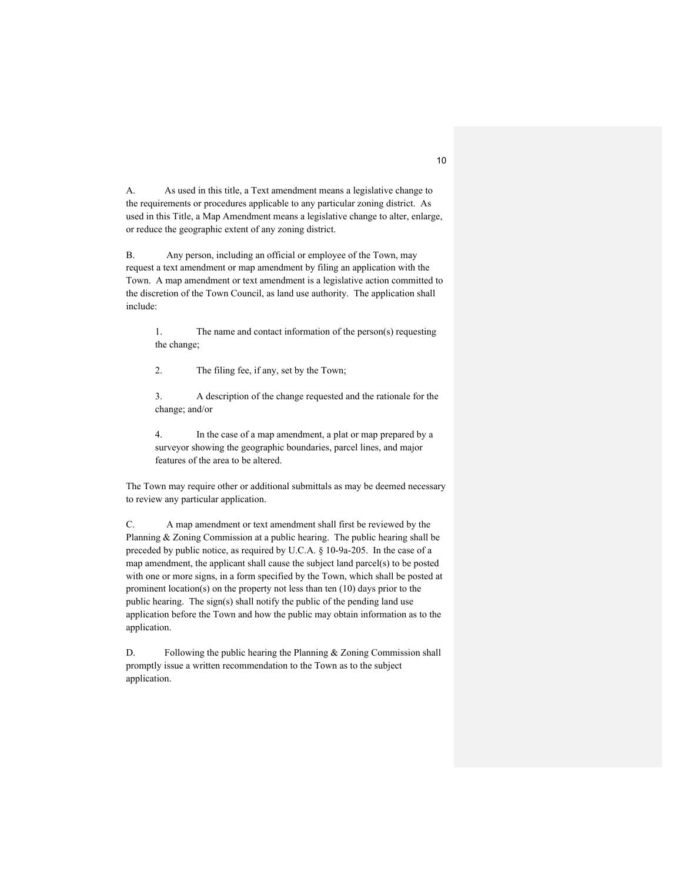A. As used in this title, a Text amendment means a legislative change to the requirements or procedures applicable to any particular zoning district. As used in this Title, a Map Amendment means a legislative change to alter, enlarge, or reduce the geographic extent of any zoning district.

B. Any person, including an official or employee of the Town, may request a text amendment or map amendment by filing an application with the Town. A map amendment or text amendment is a legislative action committed to the discretion of the Town Council, as land use authority. The application shall include:

1. The name and contact information of the person(s) requesting the change;

2. The filing fee, if any, set by the Town;

3. A description of the change requested and the rationale for the change; and/or

4. In the case of a map amendment, a plat or map prepared by a surveyor showing the geographic boundaries, parcel lines, and major features of the area to be altered.

The Town may require other or additional submittals as may be deemed necessary to review any particular application.

C. A map amendment or text amendment shall first be reviewed by the Planning & Zoning Commission at a public hearing. The public hearing shall be preceded by public notice, as required by U.C.A. § 10-9a-205. In the case of a map amendment, the applicant shall cause the subject land parcel(s) to be posted with one or more signs, in a form specified by the Town, which shall be posted at prominent location(s) on the property not less than ten (10) days prior to the public hearing. The sign(s) shall notify the public of the pending land use application before the Town and how the public may obtain information as to the application.

D. Following the public hearing the Planning & Zoning Commission shall promptly issue a written recommendation to the Town as to the subject application.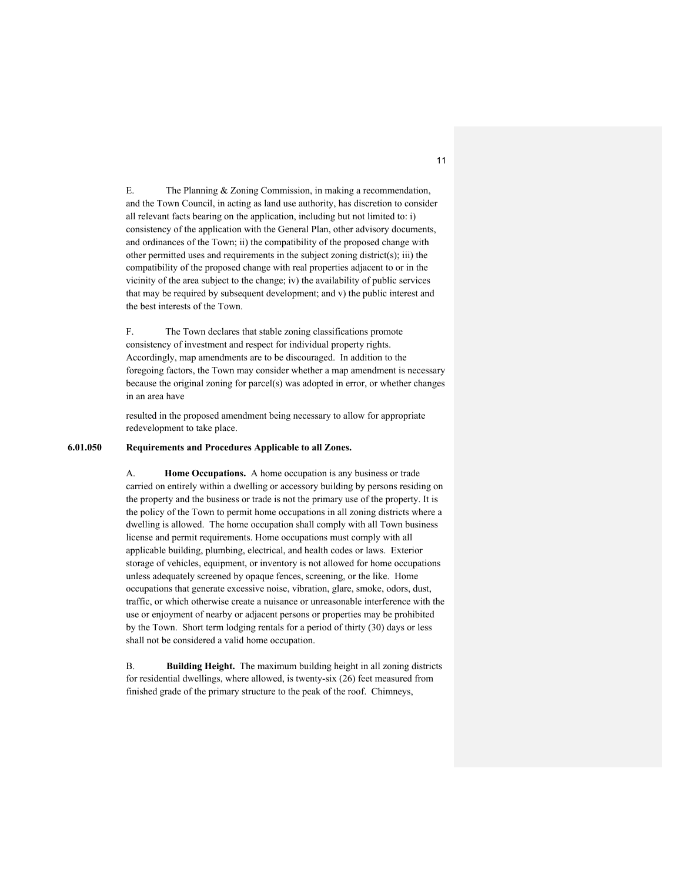E. The Planning & Zoning Commission, in making a recommendation, and the Town Council, in acting as land use authority, has discretion to consider all relevant facts bearing on the application, including but not limited to: i) consistency of the application with the General Plan, other advisory documents, and ordinances of the Town; ii) the compatibility of the proposed change with other permitted uses and requirements in the subject zoning district(s); iii) the compatibility of the proposed change with real properties adjacent to or in the vicinity of the area subject to the change; iv) the availability of public services that may be required by subsequent development; and v) the public interest and the best interests of the Town.

F. The Town declares that stable zoning classifications promote consistency of investment and respect for individual property rights. Accordingly, map amendments are to be discouraged. In addition to the foregoing factors, the Town may consider whether a map amendment is necessary because the original zoning for parcel(s) was adopted in error, or whether changes in an area have

resulted in the proposed amendment being necessary to allow for appropriate redevelopment to take place.

# **6.01.050 Requirements and Procedures Applicable to all Zones.**

A. **Home Occupations.** A home occupation is any business or trade carried on entirely within a dwelling or accessory building by persons residing on the property and the business or trade is not the primary use of the property. It is the policy of the Town to permit home occupations in all zoning districts where a dwelling is allowed. The home occupation shall comply with all Town business license and permit requirements. Home occupations must comply with all applicable building, plumbing, electrical, and health codes or laws. Exterior storage of vehicles, equipment, or inventory is not allowed for home occupations unless adequately screened by opaque fences, screening, or the like. Home occupations that generate excessive noise, vibration, glare, smoke, odors, dust, traffic, or which otherwise create a nuisance or unreasonable interference with the use or enjoyment of nearby or adjacent persons or properties may be prohibited by the Town. Short term lodging rentals for a period of thirty (30) days or less shall not be considered a valid home occupation.

B. **Building Height.** The maximum building height in all zoning districts for residential dwellings, where allowed, is twenty-six (26) feet measured from finished grade of the primary structure to the peak of the roof. Chimneys,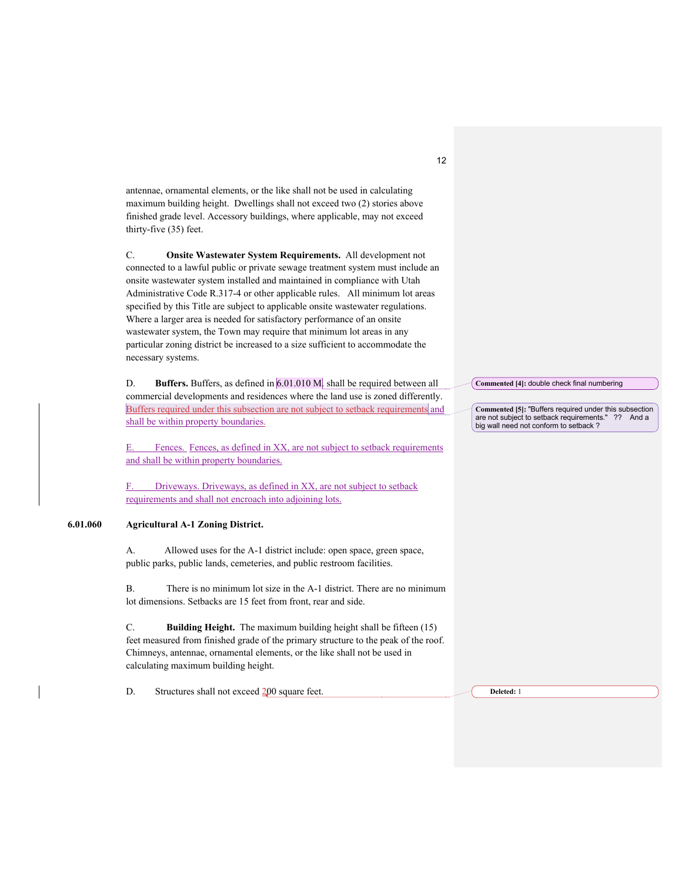antennae, ornamental elements, or the like shall not be used in calculating maximum building height. Dwellings shall not exceed two (2) stories above finished grade level. Accessory buildings, where applicable, may not exceed thirty-five (35) feet.

C. **Onsite Wastewater System Requirements.** All development not connected to a lawful public or private sewage treatment system must include an onsite wastewater system installed and maintained in compliance with Utah Administrative Code R.317-4 or other applicable rules. All minimum lot areas specified by this Title are subject to applicable onsite wastewater regulations. Where a larger area is needed for satisfactory performance of an onsite wastewater system, the Town may require that minimum lot areas in any particular zoning district be increased to a size sufficient to accommodate the necessary systems.

D. **Buffers.** Buffers, as defined in 6.01.010 M. shall be required between all commercial developments and residences where the land use is zoned differently. Buffers required under this subsection are not subject to setback requirements and shall be within property boundaries.

E. Fences. Fences, as defined in XX, are not subject to setback requirements and shall be within property boundaries.

F. Driveways. Driveways, as defined in XX, are not subject to setback requirements and shall not encroach into adjoining lots.

# **6.01.060 Agricultural A-1 Zoning District.**

A. Allowed uses for the A-1 district include: open space, green space, public parks, public lands, cemeteries, and public restroom facilities.

B. There is no minimum lot size in the A-1 district. There are no minimum lot dimensions. Setbacks are 15 feet from front, rear and side.

C. **Building Height.** The maximum building height shall be fifteen (15) feet measured from finished grade of the primary structure to the peak of the roof. Chimneys, antennae, ornamental elements, or the like shall not be used in calculating maximum building height.

D. Structures shall not exceed 200 square feet. **Deleted:** 1

**Commented [4]:** double check final numbering

**Commented [5]: "Buffers required under this subsection are not subject to setback requirements." ?? And a** are not subject to setback requirements." big wall need not conform to setback ?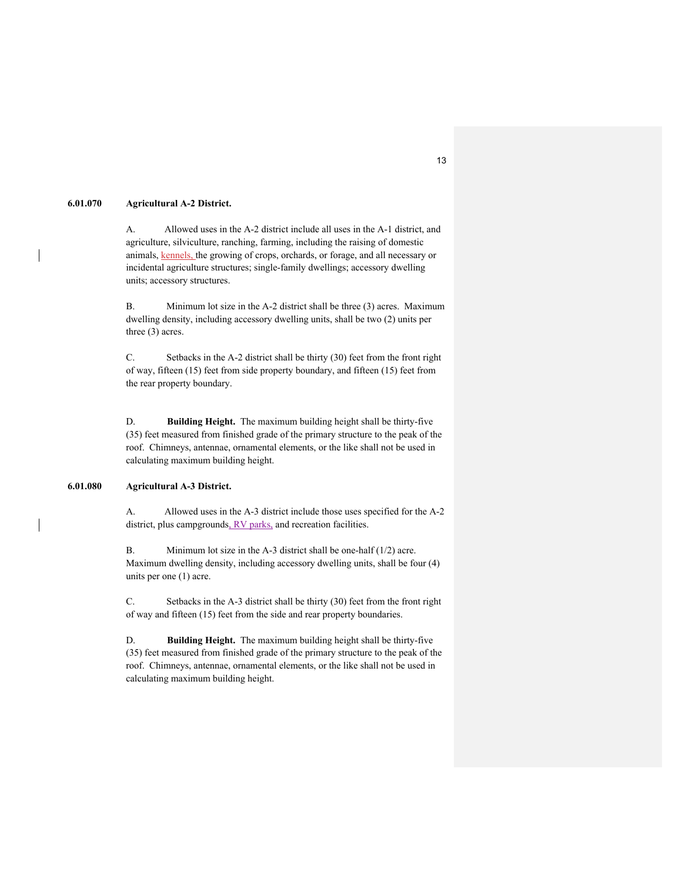# **6.01.070 Agricultural A-2 District.**

A. Allowed uses in the A-2 district include all uses in the A-1 district, and agriculture, silviculture, ranching, farming, including the raising of domestic animals, kennels, the growing of crops, orchards, or forage, and all necessary or incidental agriculture structures; single-family dwellings; accessory dwelling units; accessory structures.

B. Minimum lot size in the A-2 district shall be three (3) acres. Maximum dwelling density, including accessory dwelling units, shall be two (2) units per three (3) acres.

C. Setbacks in the A-2 district shall be thirty (30) feet from the front right of way, fifteen (15) feet from side property boundary, and fifteen (15) feet from the rear property boundary.

D. **Building Height.** The maximum building height shall be thirty-five (35) feet measured from finished grade of the primary structure to the peak of the roof. Chimneys, antennae, ornamental elements, or the like shall not be used in calculating maximum building height.

### **6.01.080 Agricultural A-3 District.**

A. Allowed uses in the A-3 district include those uses specified for the A-2 district, plus campgrounds, RV parks, and recreation facilities.

B. Minimum lot size in the A-3 district shall be one-half (1/2) acre. Maximum dwelling density, including accessory dwelling units, shall be four (4) units per one (1) acre.

C. Setbacks in the A-3 district shall be thirty (30) feet from the front right of way and fifteen (15) feet from the side and rear property boundaries.

D. **Building Height.** The maximum building height shall be thirty-five (35) feet measured from finished grade of the primary structure to the peak of the roof. Chimneys, antennae, ornamental elements, or the like shall not be used in calculating maximum building height.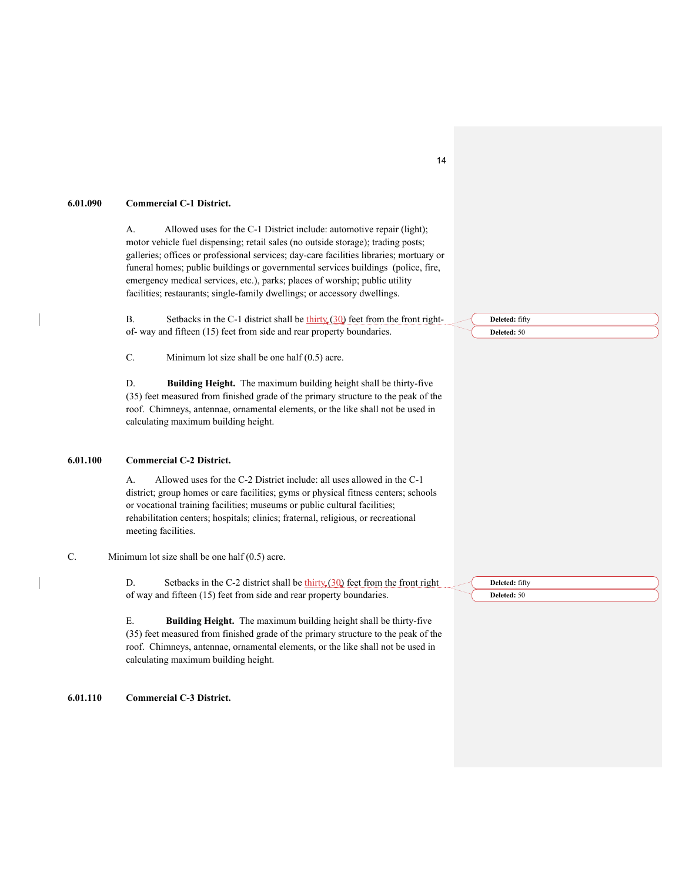### **6.01.090 Commercial C-1 District.**

A. Allowed uses for the C-1 District include: automotive repair (light); motor vehicle fuel dispensing; retail sales (no outside storage); trading posts; galleries; offices or professional services; day-care facilities libraries; mortuary or funeral homes; public buildings or governmental services buildings (police, fire, emergency medical services, etc.), parks; places of worship; public utility facilities; restaurants; single-family dwellings; or accessory dwellings.

B. Setbacks in the C-1 district shall be  $\underline{thirty}$  (30) feet from the front rightof- way and fifteen (15) feet from side and rear property boundaries.

C. Minimum lot size shall be one half (0.5) acre.

D. **Building Height.** The maximum building height shall be thirty-five (35) feet measured from finished grade of the primary structure to the peak of the roof. Chimneys, antennae, ornamental elements, or the like shall not be used in calculating maximum building height.

# **6.01.100 Commercial C-2 District.**

A. Allowed uses for the C-2 District include: all uses allowed in the C-1 district; group homes or care facilities; gyms or physical fitness centers; schools or vocational training facilities; museums or public cultural facilities; rehabilitation centers; hospitals; clinics; fraternal, religious, or recreational meeting facilities.

C. Minimum lot size shall be one half (0.5) acre.

D. Setbacks in the C-2 district shall be  $\frac{\text{thirty}}{20}$  feet from the front right of way and fifteen (15) feet from side and rear property boundaries.

E. **Building Height.** The maximum building height shall be thirty-five (35) feet measured from finished grade of the primary structure to the peak of the roof. Chimneys, antennae, ornamental elements, or the like shall not be used in calculating maximum building height.

**6.01.110 Commercial C-3 District.**

**Deleted:** fifty **Deleted:** 50

**Deleted:** fifty **Deleted:** 50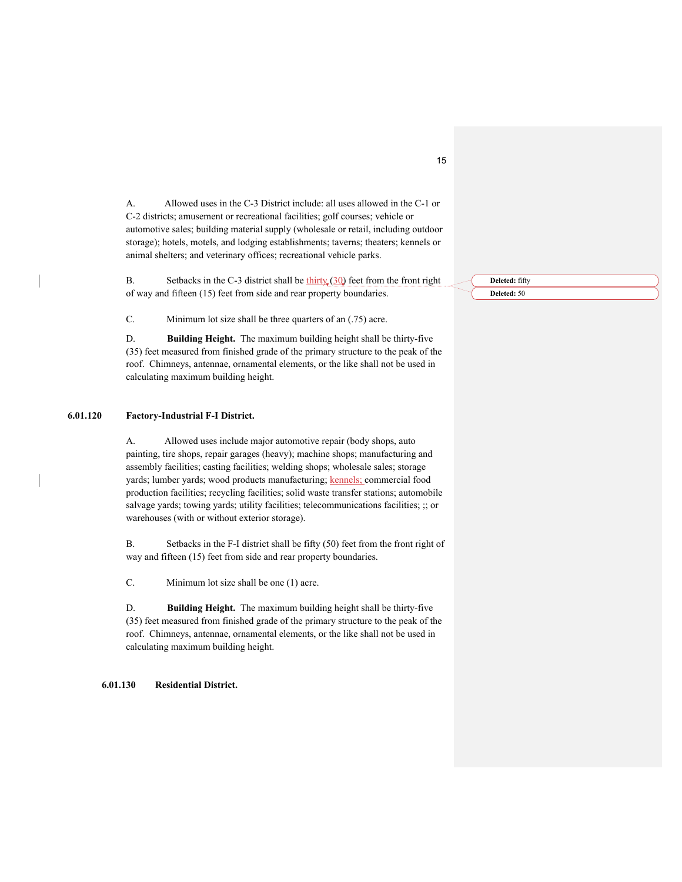A. Allowed uses in the C-3 District include: all uses allowed in the C-1 or C-2 districts; amusement or recreational facilities; golf courses; vehicle or automotive sales; building material supply (wholesale or retail, including outdoor storage); hotels, motels, and lodging establishments; taverns; theaters; kennels or animal shelters; and veterinary offices; recreational vehicle parks.

B. Setbacks in the C-3 district shall be  $\underline{thirty}$  (30) feet from the front right of way and fifteen (15) feet from side and rear property boundaries.

C. Minimum lot size shall be three quarters of an (.75) acre.

D. **Building Height.** The maximum building height shall be thirty-five (35) feet measured from finished grade of the primary structure to the peak of the roof. Chimneys, antennae, ornamental elements, or the like shall not be used in calculating maximum building height.

# **6.01.120 Factory-Industrial F-I District.**

A. Allowed uses include major automotive repair (body shops, auto painting, tire shops, repair garages (heavy); machine shops; manufacturing and assembly facilities; casting facilities; welding shops; wholesale sales; storage yards; lumber yards; wood products manufacturing; kennels; commercial food production facilities; recycling facilities; solid waste transfer stations; automobile salvage yards; towing yards; utility facilities; telecommunications facilities; ;; or warehouses (with or without exterior storage).

B. Setbacks in the F-I district shall be fifty (50) feet from the front right of way and fifteen (15) feet from side and rear property boundaries.

C. Minimum lot size shall be one (1) acre.

D. **Building Height.** The maximum building height shall be thirty-five (35) feet measured from finished grade of the primary structure to the peak of the roof. Chimneys, antennae, ornamental elements, or the like shall not be used in calculating maximum building height.

**6.01.130 Residential District.** 

**Deleted:** fifty **Deleted:** 50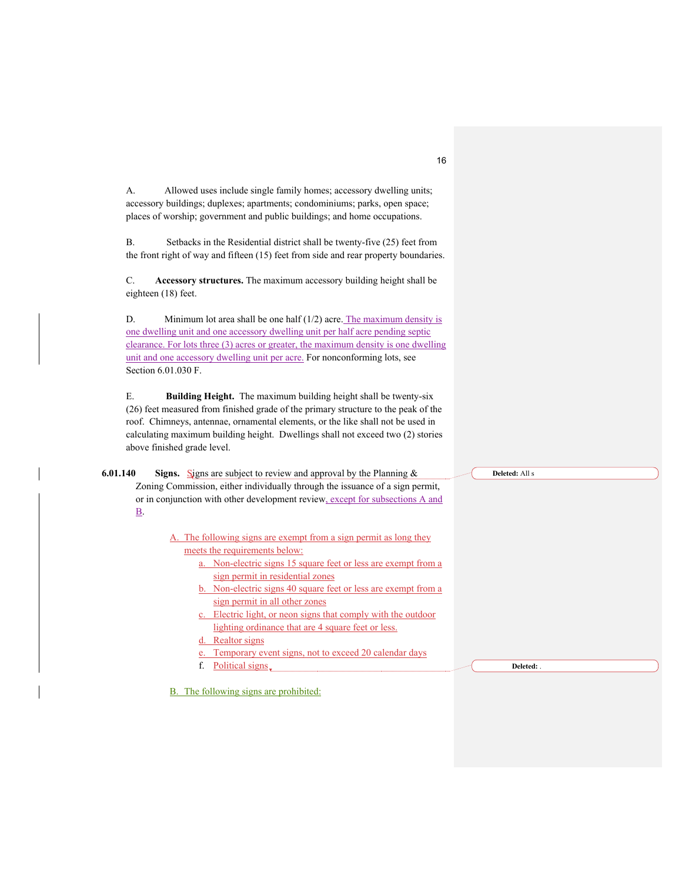A. Allowed uses include single family homes; accessory dwelling units; accessory buildings; duplexes; apartments; condominiums; parks, open space; places of worship; government and public buildings; and home occupations.

B. Setbacks in the Residential district shall be twenty-five (25) feet from the front right of way and fifteen (15) feet from side and rear property boundaries.

C. **Accessory structures.** The maximum accessory building height shall be eighteen (18) feet.

D. Minimum lot area shall be one half  $(1/2)$  acre. The maximum density is one dwelling unit and one accessory dwelling unit per half acre pending septic clearance. For lots three (3) acres or greater, the maximum density is one dwelling unit and one accessory dwelling unit per acre. For nonconforming lots, see Section 6.01.030 F.

E. **Building Height.** The maximum building height shall be twenty-six (26) feet measured from finished grade of the primary structure to the peak of the roof. Chimneys, antennae, ornamental elements, or the like shall not be used in calculating maximum building height. Dwellings shall not exceed two (2) stories above finished grade level.

**6.01.140** Signs. Signs are subject to review and approval by the Planning & Zoning Commission, either individually through the issuance of a sign permit, or in conjunction with other development review, except for subsections A and B.

> A. The following signs are exempt from a sign permit as long they meets the requirements below:

- a. Non-electric signs 15 square feet or less are exempt from a sign permit in residential zones
- b. Non-electric signs 40 square feet or less are exempt from a sign permit in all other zones
- c. Electric light, or neon signs that comply with the outdoor lighting ordinance that are 4 square feet or less.
- Realtor signs
- e. Temporary event signs, not to exceed 20 calendar days
- f. Political signs

**Deleted:** .

**Deleted:** All s

B. The following signs are prohibited: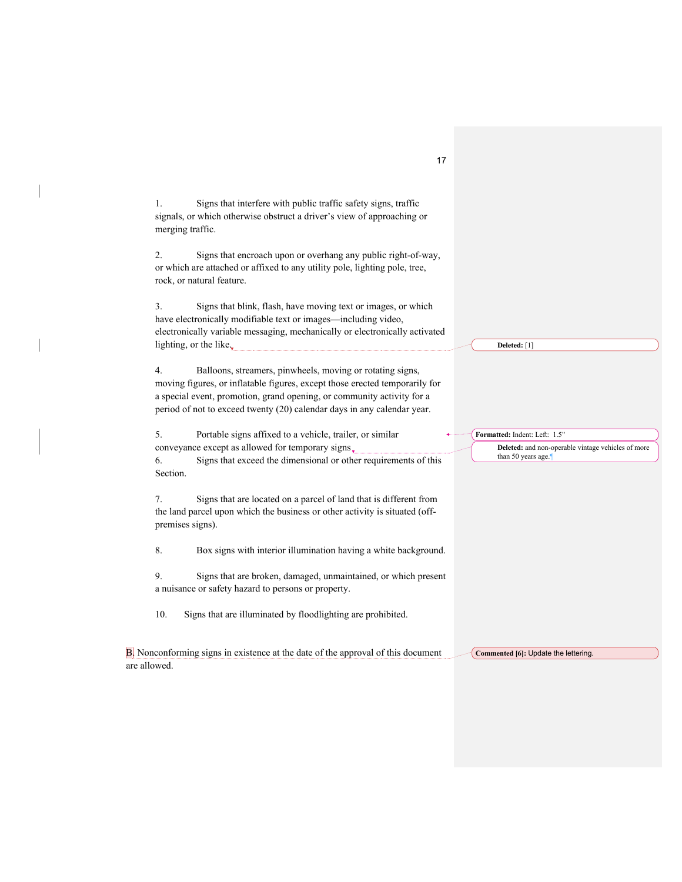| 1.                   | Signs that interfere with public traffic safety signs, traffic<br>signals, or which otherwise obstruct a driver's view of approaching or<br>merging traffic.                                                                                                                                  |                                                                                                           |
|----------------------|-----------------------------------------------------------------------------------------------------------------------------------------------------------------------------------------------------------------------------------------------------------------------------------------------|-----------------------------------------------------------------------------------------------------------|
| 2.                   | Signs that encroach upon or overhang any public right-of-way,<br>or which are attached or affixed to any utility pole, lighting pole, tree,<br>rock, or natural feature.                                                                                                                      |                                                                                                           |
| 3.                   | Signs that blink, flash, have moving text or images, or which<br>have electronically modifiable text or images-including video,<br>electronically variable messaging, mechanically or electronically activated<br>lighting, or the like,                                                      | Deleted: [1]                                                                                              |
| 4.                   | Balloons, streamers, pinwheels, moving or rotating signs,<br>moving figures, or inflatable figures, except those erected temporarily for<br>a special event, promotion, grand opening, or community activity for a<br>period of not to exceed twenty (20) calendar days in any calendar year. |                                                                                                           |
| 5.<br>6.<br>Section. | Portable signs affixed to a vehicle, trailer, or similar<br>conveyance except as allowed for temporary signs.<br>Signs that exceed the dimensional or other requirements of this                                                                                                              | Formatted: Indent: Left: 1.5"<br>Deleted: and non-operable vintage vehicles of more<br>than 50 years age. |
| 7.                   | Signs that are located on a parcel of land that is different from<br>the land parcel upon which the business or other activity is situated (off-<br>premises signs).                                                                                                                          |                                                                                                           |
| 8.                   | Box signs with interior illumination having a white background.                                                                                                                                                                                                                               |                                                                                                           |
| 9.                   | Signs that are broken, damaged, unmaintained, or which present<br>a nuisance or safety hazard to persons or property.                                                                                                                                                                         |                                                                                                           |
| 10.                  | Signs that are illuminated by floodlighting are prohibited.                                                                                                                                                                                                                                   |                                                                                                           |
| are allowed.         | B. Nonconforming signs in existence at the date of the approval of this document                                                                                                                                                                                                              | Commented [6]: Update the lettering.                                                                      |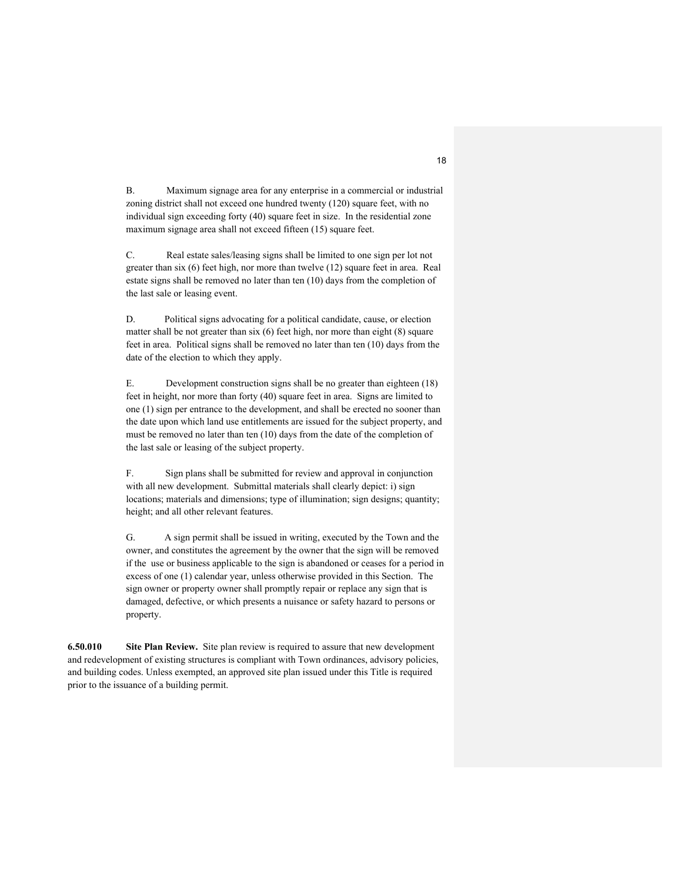B. Maximum signage area for any enterprise in a commercial or industrial zoning district shall not exceed one hundred twenty (120) square feet, with no individual sign exceeding forty (40) square feet in size. In the residential zone maximum signage area shall not exceed fifteen (15) square feet.

C. Real estate sales/leasing signs shall be limited to one sign per lot not greater than six (6) feet high, nor more than twelve (12) square feet in area. Real estate signs shall be removed no later than ten (10) days from the completion of the last sale or leasing event.

D. Political signs advocating for a political candidate, cause, or election matter shall be not greater than six (6) feet high, nor more than eight (8) square feet in area. Political signs shall be removed no later than ten (10) days from the date of the election to which they apply.

E. Development construction signs shall be no greater than eighteen (18) feet in height, nor more than forty (40) square feet in area. Signs are limited to one (1) sign per entrance to the development, and shall be erected no sooner than the date upon which land use entitlements are issued for the subject property, and must be removed no later than ten (10) days from the date of the completion of the last sale or leasing of the subject property.

F. Sign plans shall be submitted for review and approval in conjunction with all new development. Submittal materials shall clearly depict: i) sign locations; materials and dimensions; type of illumination; sign designs; quantity; height; and all other relevant features.

G. A sign permit shall be issued in writing, executed by the Town and the owner, and constitutes the agreement by the owner that the sign will be removed if the use or business applicable to the sign is abandoned or ceases for a period in excess of one (1) calendar year, unless otherwise provided in this Section. The sign owner or property owner shall promptly repair or replace any sign that is damaged, defective, or which presents a nuisance or safety hazard to persons or property.

**6.50.010 Site Plan Review.** Site plan review is required to assure that new development and redevelopment of existing structures is compliant with Town ordinances, advisory policies, and building codes. Unless exempted, an approved site plan issued under this Title is required prior to the issuance of a building permit.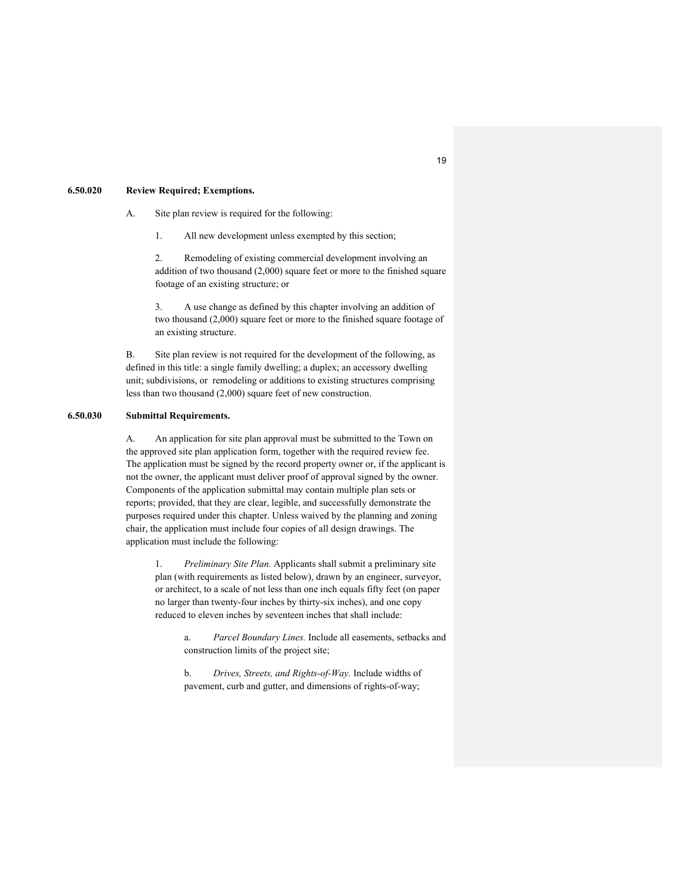#### **6.50.020 Review Required; Exemptions.**

A. Site plan review is required for the following:

1. All new development unless exempted by this section;

2. Remodeling of existing commercial development involving an addition of two thousand (2,000) square feet or more to the finished square footage of an existing structure; or

3. A use change as defined by this chapter involving an addition of two thousand (2,000) square feet or more to the finished square footage of an existing structure.

B. Site plan review is not required for the development of the following, as defined in this title: a single family dwelling; a duplex; an accessory dwelling unit; subdivisions, or remodeling or additions to existing structures comprising less than two thousand (2,000) square feet of new construction.

# **6.50.030 Submittal Requirements.**

A. An application for site plan approval must be submitted to the Town on the approved site plan application form, together with the required review fee. The application must be signed by the record property owner or, if the applicant is not the owner, the applicant must deliver proof of approval signed by the owner. Components of the application submittal may contain multiple plan sets or reports; provided, that they are clear, legible, and successfully demonstrate the purposes required under this chapter. Unless waived by the planning and zoning chair, the application must include four copies of all design drawings. The application must include the following:

1. *Preliminary Site Plan.* Applicants shall submit a preliminary site plan (with requirements as listed below), drawn by an engineer, surveyor, or architect, to a scale of not less than one inch equals fifty feet (on paper no larger than twenty-four inches by thirty-six inches), and one copy reduced to eleven inches by seventeen inches that shall include:

> a. *Parcel Boundary Lines.* Include all easements, setbacks and construction limits of the project site;

b. *Drives, Streets, and Rights-of-Way.* Include widths of pavement, curb and gutter, and dimensions of rights-of-way;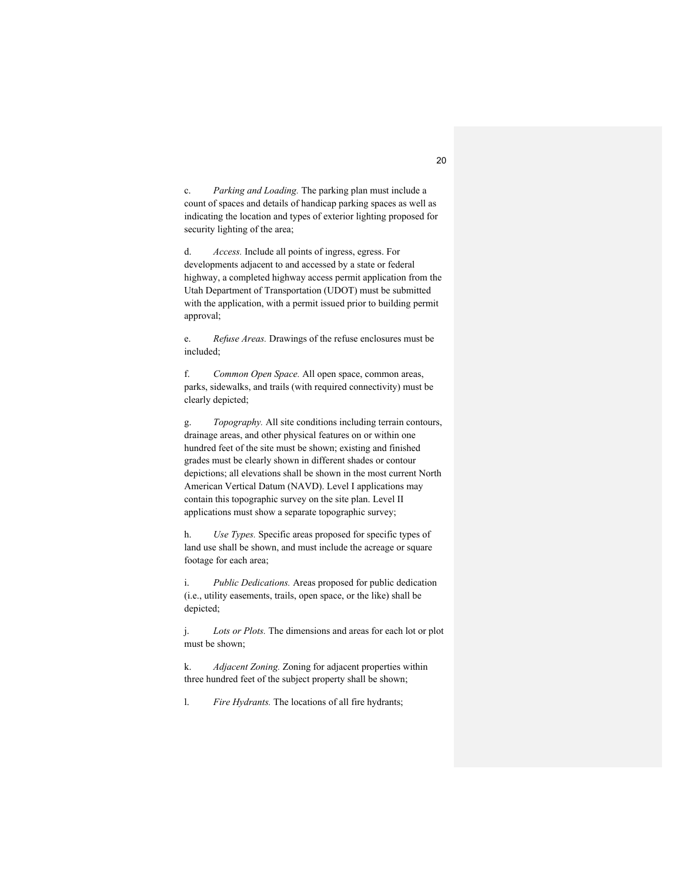c. *Parking and Loading.* The parking plan must include a count of spaces and details of handicap parking spaces as well as indicating the location and types of exterior lighting proposed for security lighting of the area;

d. *Access.* Include all points of ingress, egress. For developments adjacent to and accessed by a state or federal highway, a completed highway access permit application from the Utah Department of Transportation (UDOT) must be submitted with the application, with a permit issued prior to building permit approval;

e. *Refuse Areas.* Drawings of the refuse enclosures must be included;

f. *Common Open Space.* All open space, common areas, parks, sidewalks, and trails (with required connectivity) must be clearly depicted;

g. *Topography.* All site conditions including terrain contours, drainage areas, and other physical features on or within one hundred feet of the site must be shown; existing and finished grades must be clearly shown in different shades or contour depictions; all elevations shall be shown in the most current North American Vertical Datum (NAVD). Level I applications may contain this topographic survey on the site plan. Level II applications must show a separate topographic survey;

h. *Use Types.* Specific areas proposed for specific types of land use shall be shown, and must include the acreage or square footage for each area;

i. *Public Dedications.* Areas proposed for public dedication (i.e., utility easements, trails, open space, or the like) shall be depicted;

j. *Lots or Plots.* The dimensions and areas for each lot or plot must be shown;

k. *Adjacent Zoning.* Zoning for adjacent properties within three hundred feet of the subject property shall be shown;

l. *Fire Hydrants.* The locations of all fire hydrants;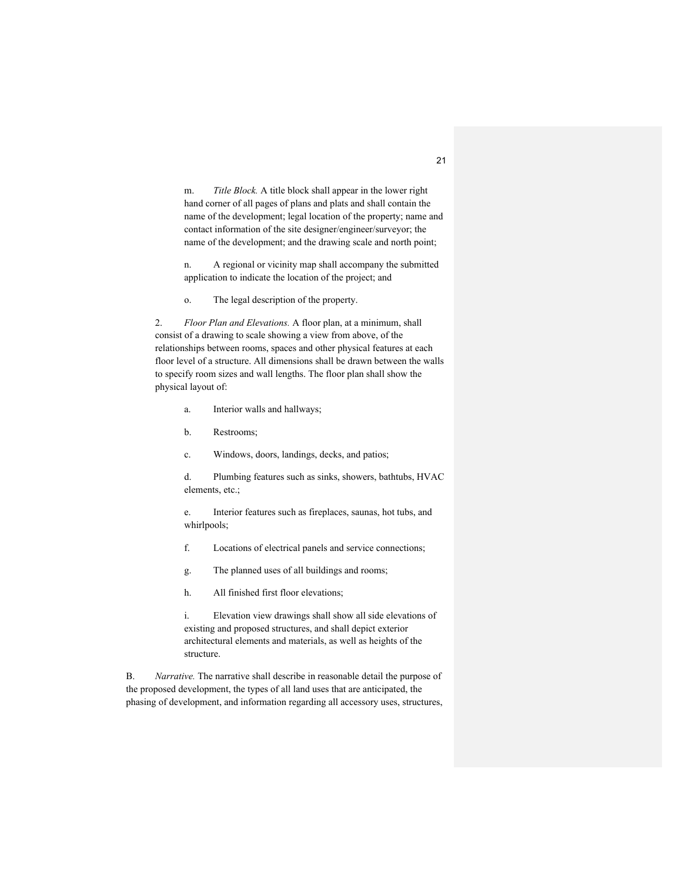m. *Title Block.* A title block shall appear in the lower right hand corner of all pages of plans and plats and shall contain the name of the development; legal location of the property; name and contact information of the site designer/engineer/surveyor; the name of the development; and the drawing scale and north point;

n. A regional or vicinity map shall accompany the submitted application to indicate the location of the project; and

o. The legal description of the property.

2. *Floor Plan and Elevations.* A floor plan, at a minimum, shall consist of a drawing to scale showing a view from above, of the relationships between rooms, spaces and other physical features at each floor level of a structure. All dimensions shall be drawn between the walls to specify room sizes and wall lengths. The floor plan shall show the physical layout of:

- a. Interior walls and hallways;
- b. Restrooms;
- c. Windows, doors, landings, decks, and patios;

d. Plumbing features such as sinks, showers, bathtubs, HVAC elements, etc.;

e. Interior features such as fireplaces, saunas, hot tubs, and whirlpools;

- f. Locations of electrical panels and service connections;
- g. The planned uses of all buildings and rooms;
- h. All finished first floor elevations;

i. Elevation view drawings shall show all side elevations of existing and proposed structures, and shall depict exterior architectural elements and materials, as well as heights of the structure.

B. *Narrative.* The narrative shall describe in reasonable detail the purpose of the proposed development, the types of all land uses that are anticipated, the phasing of development, and information regarding all accessory uses, structures,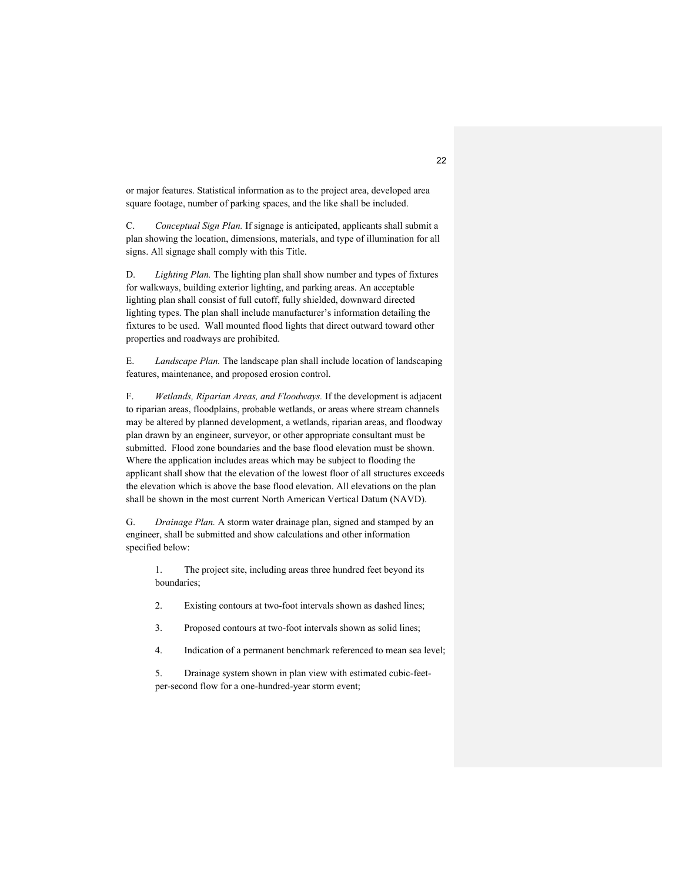or major features. Statistical information as to the project area, developed area square footage, number of parking spaces, and the like shall be included.

C. *Conceptual Sign Plan.* If signage is anticipated, applicants shall submit a plan showing the location, dimensions, materials, and type of illumination for all signs. All signage shall comply with this Title.

D. *Lighting Plan.* The lighting plan shall show number and types of fixtures for walkways, building exterior lighting, and parking areas. An acceptable lighting plan shall consist of full cutoff, fully shielded, downward directed lighting types. The plan shall include manufacturer's information detailing the fixtures to be used. Wall mounted flood lights that direct outward toward other properties and roadways are prohibited.

E. *Landscape Plan.* The landscape plan shall include location of landscaping features, maintenance, and proposed erosion control.

F. *Wetlands, Riparian Areas, and Floodways.* If the development is adjacent to riparian areas, floodplains, probable wetlands, or areas where stream channels may be altered by planned development, a wetlands, riparian areas, and floodway plan drawn by an engineer, surveyor, or other appropriate consultant must be submitted. Flood zone boundaries and the base flood elevation must be shown. Where the application includes areas which may be subject to flooding the applicant shall show that the elevation of the lowest floor of all structures exceeds the elevation which is above the base flood elevation. All elevations on the plan shall be shown in the most current North American Vertical Datum (NAVD).

G. *Drainage Plan.* A storm water drainage plan, signed and stamped by an engineer, shall be submitted and show calculations and other information specified below:

1. The project site, including areas three hundred feet beyond its boundaries;

- 2. Existing contours at two-foot intervals shown as dashed lines;
- 3. Proposed contours at two-foot intervals shown as solid lines;
- 4. Indication of a permanent benchmark referenced to mean sea level;

5. Drainage system shown in plan view with estimated cubic-feetper-second flow for a one-hundred-year storm event;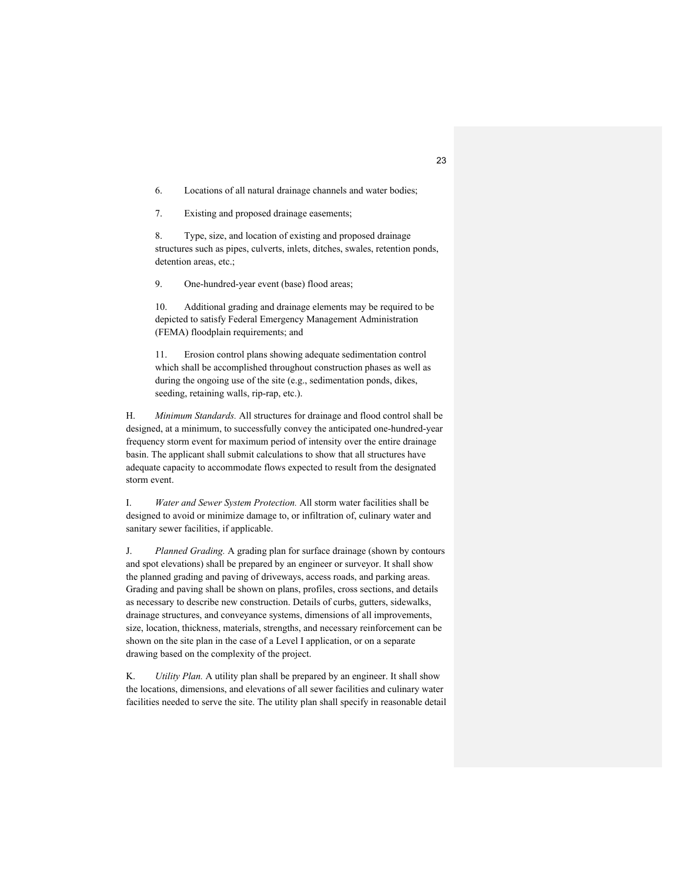6. Locations of all natural drainage channels and water bodies;

7. Existing and proposed drainage easements;

8. Type, size, and location of existing and proposed drainage structures such as pipes, culverts, inlets, ditches, swales, retention ponds, detention areas, etc.;

9. One-hundred-year event (base) flood areas;

10. Additional grading and drainage elements may be required to be depicted to satisfy Federal Emergency Management Administration (FEMA) floodplain requirements; and

11. Erosion control plans showing adequate sedimentation control which shall be accomplished throughout construction phases as well as during the ongoing use of the site (e.g., sedimentation ponds, dikes, seeding, retaining walls, rip-rap, etc.).

H. *Minimum Standards.* All structures for drainage and flood control shall be designed, at a minimum, to successfully convey the anticipated one-hundred-year frequency storm event for maximum period of intensity over the entire drainage basin. The applicant shall submit calculations to show that all structures have adequate capacity to accommodate flows expected to result from the designated storm event.

I. *Water and Sewer System Protection.* All storm water facilities shall be designed to avoid or minimize damage to, or infiltration of, culinary water and sanitary sewer facilities, if applicable.

J. *Planned Grading.* A grading plan for surface drainage (shown by contours and spot elevations) shall be prepared by an engineer or surveyor. It shall show the planned grading and paving of driveways, access roads, and parking areas. Grading and paving shall be shown on plans, profiles, cross sections, and details as necessary to describe new construction. Details of curbs, gutters, sidewalks, drainage structures, and conveyance systems, dimensions of all improvements, size, location, thickness, materials, strengths, and necessary reinforcement can be shown on the site plan in the case of a Level I application, or on a separate drawing based on the complexity of the project.

K. *Utility Plan.* A utility plan shall be prepared by an engineer. It shall show the locations, dimensions, and elevations of all sewer facilities and culinary water facilities needed to serve the site. The utility plan shall specify in reasonable detail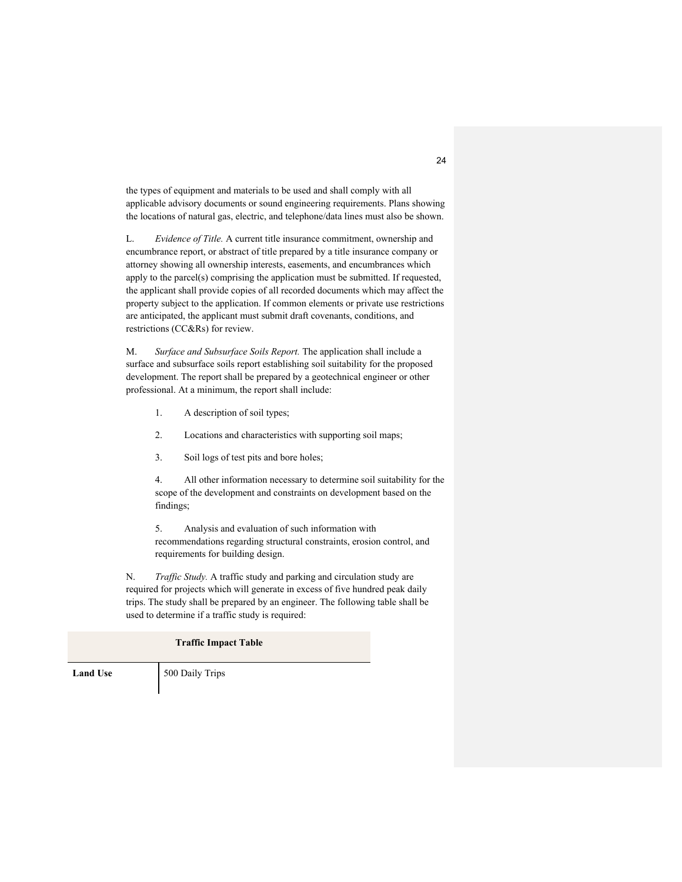the types of equipment and materials to be used and shall comply with all applicable advisory documents or sound engineering requirements. Plans showing the locations of natural gas, electric, and telephone/data lines must also be shown.

L. *Evidence of Title.* A current title insurance commitment, ownership and encumbrance report, or abstract of title prepared by a title insurance company or attorney showing all ownership interests, easements, and encumbrances which apply to the parcel(s) comprising the application must be submitted. If requested, the applicant shall provide copies of all recorded documents which may affect the property subject to the application. If common elements or private use restrictions are anticipated, the applicant must submit draft covenants, conditions, and restrictions (CC&Rs) for review.

M. *Surface and Subsurface Soils Report.* The application shall include a surface and subsurface soils report establishing soil suitability for the proposed development. The report shall be prepared by a geotechnical engineer or other professional. At a minimum, the report shall include:

- 1. A description of soil types;
- 2. Locations and characteristics with supporting soil maps;
- 3. Soil logs of test pits and bore holes;

4. All other information necessary to determine soil suitability for the scope of the development and constraints on development based on the findings;

5. Analysis and evaluation of such information with recommendations regarding structural constraints, erosion control, and requirements for building design.

N. *Traffic Study.* A traffic study and parking and circulation study are required for projects which will generate in excess of five hundred peak daily trips. The study shall be prepared by an engineer. The following table shall be used to determine if a traffic study is required:

# **Traffic Impact Table**

**Land Use** 500 Daily Trips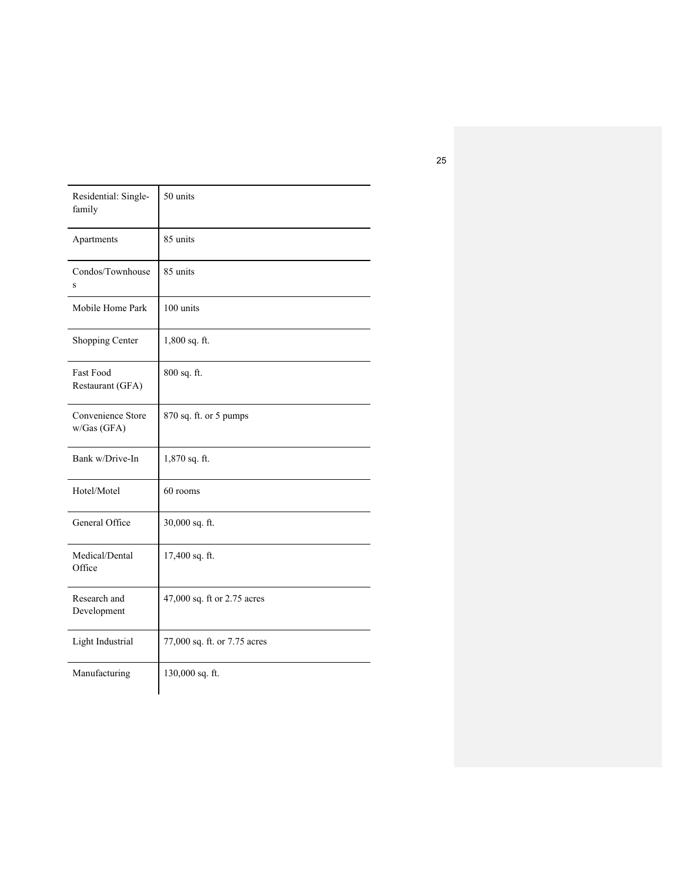| Residential: Single-<br>family       | 50 units                     |
|--------------------------------------|------------------------------|
| Apartments                           | 85 units                     |
| Condos/Townhouse<br>S                | 85 units                     |
| Mobile Home Park                     | 100 units                    |
| Shopping Center                      | $1,800$ sq. ft.              |
| <b>Fast Food</b><br>Restaurant (GFA) | 800 sq. ft.                  |
| Convenience Store<br>w/Gas (GFA)     | 870 sq. ft. or 5 pumps       |
| Bank w/Drive-In                      | 1,870 sq. ft.                |
| Hotel/Motel                          | 60 rooms                     |
| General Office                       | 30,000 sq. ft.               |
| Medical/Dental<br>Office             | 17,400 sq. ft.               |
| Research and<br>Development          | 47,000 sq. ft or 2.75 acres  |
| Light Industrial                     | 77,000 sq. ft. or 7.75 acres |
| Manufacturing                        | 130,000 sq. ft.              |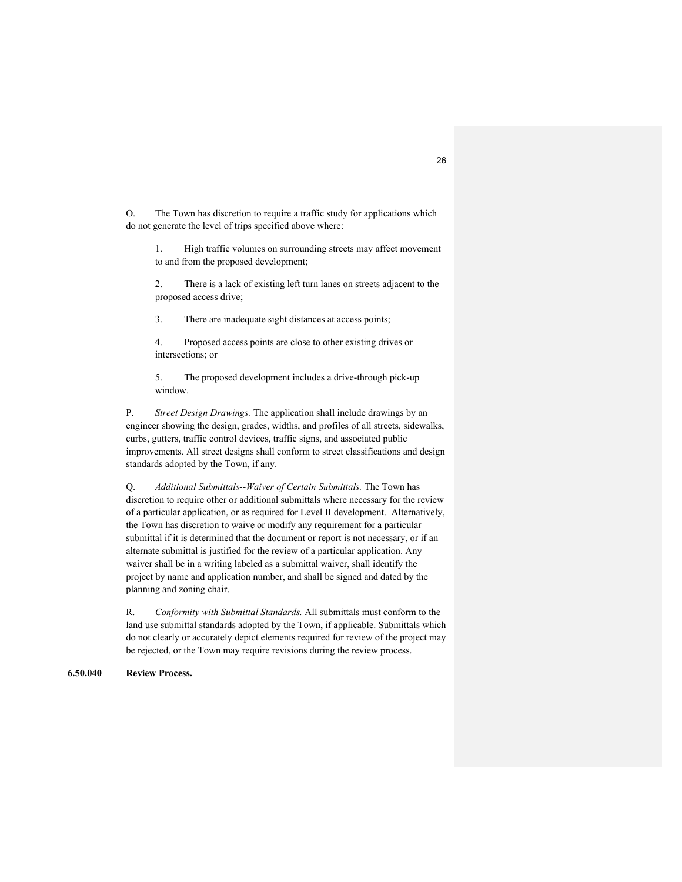O. The Town has discretion to require a traffic study for applications which do not generate the level of trips specified above where:

1. High traffic volumes on surrounding streets may affect movement to and from the proposed development;

2. There is a lack of existing left turn lanes on streets adjacent to the proposed access drive;

3. There are inadequate sight distances at access points;

4. Proposed access points are close to other existing drives or intersections; or

5. The proposed development includes a drive-through pick-up window.

P. *Street Design Drawings.* The application shall include drawings by an engineer showing the design, grades, widths, and profiles of all streets, sidewalks, curbs, gutters, traffic control devices, traffic signs, and associated public improvements. All street designs shall conform to street classifications and design standards adopted by the Town, if any.

Q. *Additional Submittals--Waiver of Certain Submittals.* The Town has discretion to require other or additional submittals where necessary for the review of a particular application, or as required for Level II development. Alternatively, the Town has discretion to waive or modify any requirement for a particular submittal if it is determined that the document or report is not necessary, or if an alternate submittal is justified for the review of a particular application. Any waiver shall be in a writing labeled as a submittal waiver, shall identify the project by name and application number, and shall be signed and dated by the planning and zoning chair.

R. *Conformity with Submittal Standards.* All submittals must conform to the land use submittal standards adopted by the Town, if applicable. Submittals which do not clearly or accurately depict elements required for review of the project may be rejected, or the Town may require revisions during the review process.

# **6.50.040 Review Process.**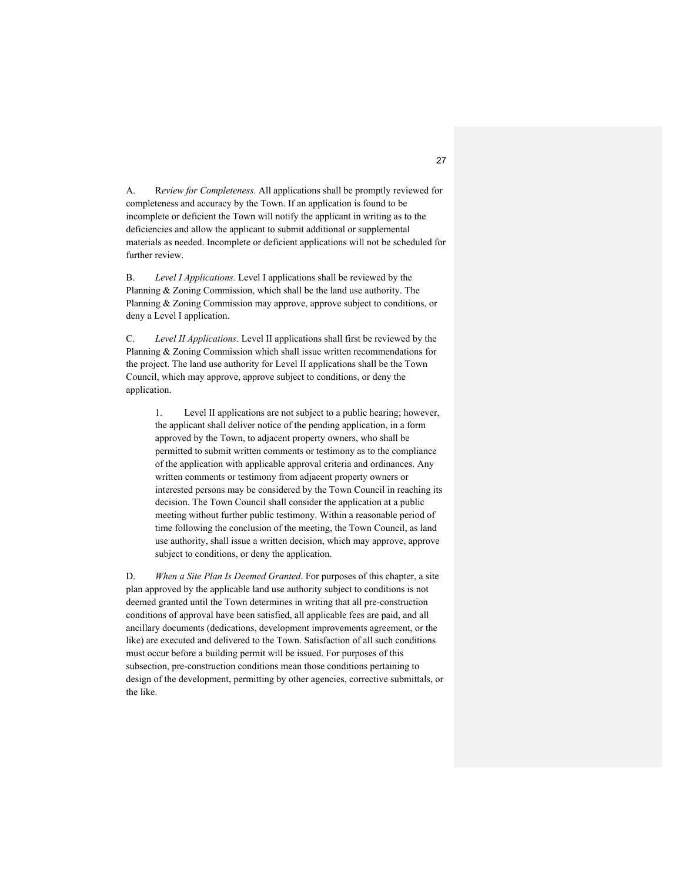A. R*eview for Completeness.* All applications shall be promptly reviewed for completeness and accuracy by the Town. If an application is found to be incomplete or deficient the Town will notify the applicant in writing as to the deficiencies and allow the applicant to submit additional or supplemental materials as needed. Incomplete or deficient applications will not be scheduled for further review.

B. *Level I Applications.* Level I applications shall be reviewed by the Planning & Zoning Commission, which shall be the land use authority. The Planning & Zoning Commission may approve, approve subject to conditions, or deny a Level I application.

C. *Level II Applications.* Level II applications shall first be reviewed by the Planning & Zoning Commission which shall issue written recommendations for the project. The land use authority for Level II applications shall be the Town Council, which may approve, approve subject to conditions, or deny the application.

1. Level II applications are not subject to a public hearing; however, the applicant shall deliver notice of the pending application, in a form approved by the Town, to adjacent property owners, who shall be permitted to submit written comments or testimony as to the compliance of the application with applicable approval criteria and ordinances. Any written comments or testimony from adjacent property owners or interested persons may be considered by the Town Council in reaching its decision. The Town Council shall consider the application at a public meeting without further public testimony. Within a reasonable period of time following the conclusion of the meeting, the Town Council, as land use authority, shall issue a written decision, which may approve, approve subject to conditions, or deny the application.

D. *When a Site Plan Is Deemed Granted*. For purposes of this chapter, a site plan approved by the applicable land use authority subject to conditions is not deemed granted until the Town determines in writing that all pre-construction conditions of approval have been satisfied, all applicable fees are paid, and all ancillary documents (dedications, development improvements agreement, or the like) are executed and delivered to the Town. Satisfaction of all such conditions must occur before a building permit will be issued. For purposes of this subsection, pre-construction conditions mean those conditions pertaining to design of the development, permitting by other agencies, corrective submittals, or the like.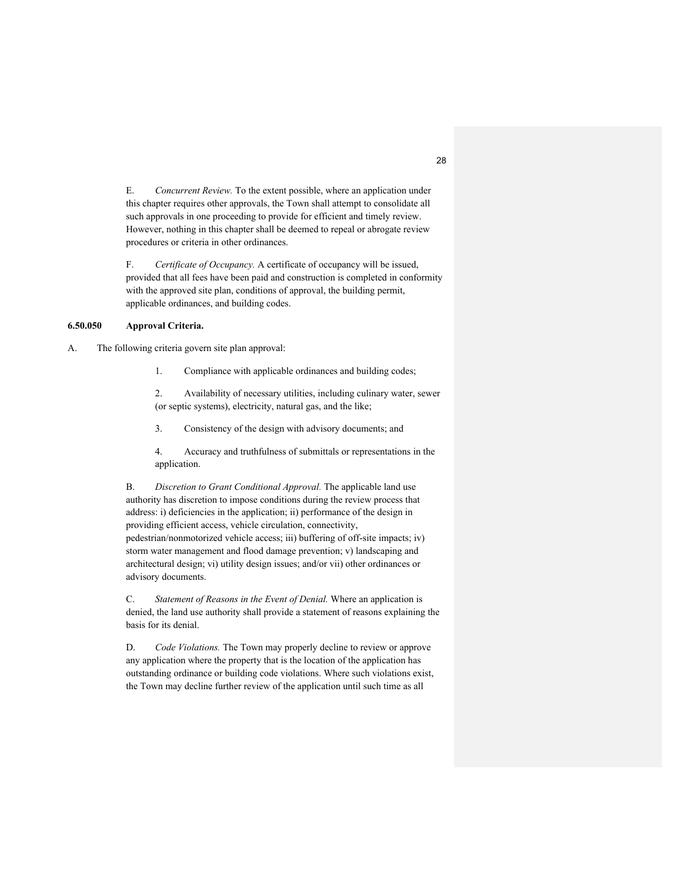E. *Concurrent Review.* To the extent possible, where an application under this chapter requires other approvals, the Town shall attempt to consolidate all such approvals in one proceeding to provide for efficient and timely review. However, nothing in this chapter shall be deemed to repeal or abrogate review procedures or criteria in other ordinances.

F. *Certificate of Occupancy.* A certificate of occupancy will be issued, provided that all fees have been paid and construction is completed in conformity with the approved site plan, conditions of approval, the building permit, applicable ordinances, and building codes.

# **6.50.050 Approval Criteria.**

A. The following criteria govern site plan approval:

1. Compliance with applicable ordinances and building codes;

2. Availability of necessary utilities, including culinary water, sewer (or septic systems), electricity, natural gas, and the like;

3. Consistency of the design with advisory documents; and

4. Accuracy and truthfulness of submittals or representations in the application.

B. *Discretion to Grant Conditional Approval.* The applicable land use authority has discretion to impose conditions during the review process that address: i) deficiencies in the application; ii) performance of the design in providing efficient access, vehicle circulation, connectivity, pedestrian/nonmotorized vehicle access; iii) buffering of off-site impacts; iv) storm water management and flood damage prevention; v) landscaping and architectural design; vi) utility design issues; and/or vii) other ordinances or advisory documents.

C. *Statement of Reasons in the Event of Denial.* Where an application is denied, the land use authority shall provide a statement of reasons explaining the basis for its denial.

D. *Code Violations.* The Town may properly decline to review or approve any application where the property that is the location of the application has outstanding ordinance or building code violations. Where such violations exist, the Town may decline further review of the application until such time as all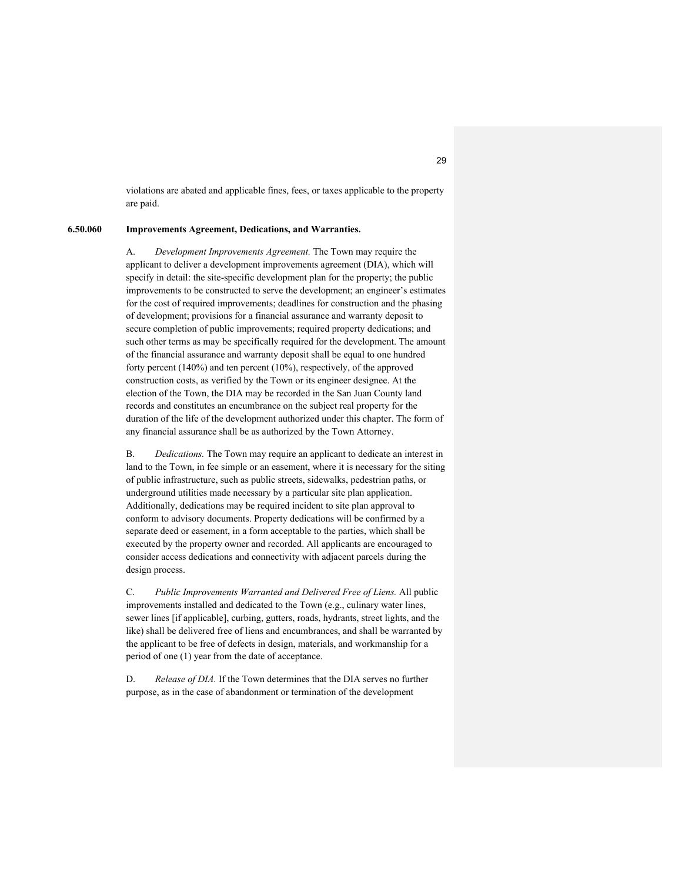violations are abated and applicable fines, fees, or taxes applicable to the property are paid.

#### **6.50.060 Improvements Agreement, Dedications, and Warranties.**

A. *Development Improvements Agreement.* The Town may require the applicant to deliver a development improvements agreement (DIA), which will specify in detail: the site-specific development plan for the property; the public improvements to be constructed to serve the development; an engineer's estimates for the cost of required improvements; deadlines for construction and the phasing of development; provisions for a financial assurance and warranty deposit to secure completion of public improvements; required property dedications; and such other terms as may be specifically required for the development. The amount of the financial assurance and warranty deposit shall be equal to one hundred forty percent (140%) and ten percent (10%), respectively, of the approved construction costs, as verified by the Town or its engineer designee. At the election of the Town, the DIA may be recorded in the San Juan County land records and constitutes an encumbrance on the subject real property for the duration of the life of the development authorized under this chapter. The form of any financial assurance shall be as authorized by the Town Attorney.

B. *Dedications.* The Town may require an applicant to dedicate an interest in land to the Town, in fee simple or an easement, where it is necessary for the siting of public infrastructure, such as public streets, sidewalks, pedestrian paths, or underground utilities made necessary by a particular site plan application. Additionally, dedications may be required incident to site plan approval to conform to advisory documents. Property dedications will be confirmed by a separate deed or easement, in a form acceptable to the parties, which shall be executed by the property owner and recorded. All applicants are encouraged to consider access dedications and connectivity with adjacent parcels during the design process.

C. *Public Improvements Warranted and Delivered Free of Liens.* All public improvements installed and dedicated to the Town (e.g., culinary water lines, sewer lines [if applicable], curbing, gutters, roads, hydrants, street lights, and the like) shall be delivered free of liens and encumbrances, and shall be warranted by the applicant to be free of defects in design, materials, and workmanship for a period of one (1) year from the date of acceptance.

D. *Release of DIA.* If the Town determines that the DIA serves no further purpose, as in the case of abandonment or termination of the development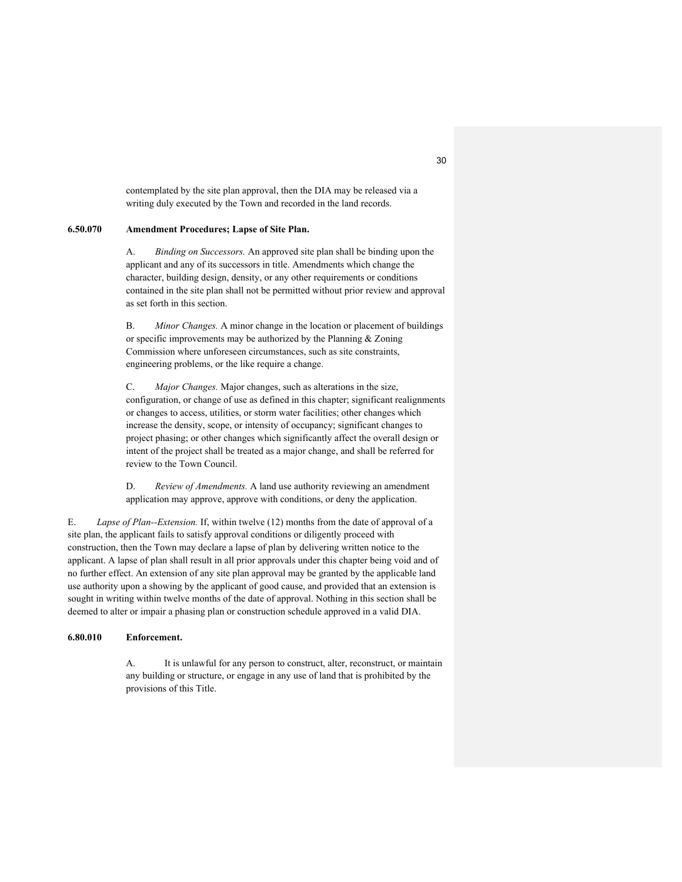contemplated by the site plan approval, then the DIA may be released via a writing duly executed by the Town and recorded in the land records.

### **6.50.070 Amendment Procedures; Lapse of Site Plan.**

A. *Binding on Successors.* An approved site plan shall be binding upon the applicant and any of its successors in title. Amendments which change the character, building design, density, or any other requirements or conditions contained in the site plan shall not be permitted without prior review and approval as set forth in this section.

B. *Minor Changes.* A minor change in the location or placement of buildings or specific improvements may be authorized by the Planning & Zoning Commission where unforeseen circumstances, such as site constraints, engineering problems, or the like require a change.

C. *Major Changes.* Major changes, such as alterations in the size, configuration, or change of use as defined in this chapter; significant realignments or changes to access, utilities, or storm water facilities; other changes which increase the density, scope, or intensity of occupancy; significant changes to project phasing; or other changes which significantly affect the overall design or intent of the project shall be treated as a major change, and shall be referred for review to the Town Council.

D. *Review of Amendments.* A land use authority reviewing an amendment application may approve, approve with conditions, or deny the application.

E. *Lapse of Plan--Extension.* If, within twelve (12) months from the date of approval of a site plan, the applicant fails to satisfy approval conditions or diligently proceed with construction, then the Town may declare a lapse of plan by delivering written notice to the applicant. A lapse of plan shall result in all prior approvals under this chapter being void and of no further effect. An extension of any site plan approval may be granted by the applicable land use authority upon a showing by the applicant of good cause, and provided that an extension is sought in writing within twelve months of the date of approval. Nothing in this section shall be deemed to alter or impair a phasing plan or construction schedule approved in a valid DIA.

# **6.80.010 Enforcement.**

A. It is unlawful for any person to construct, alter, reconstruct, or maintain any building or structure, or engage in any use of land that is prohibited by the provisions of this Title.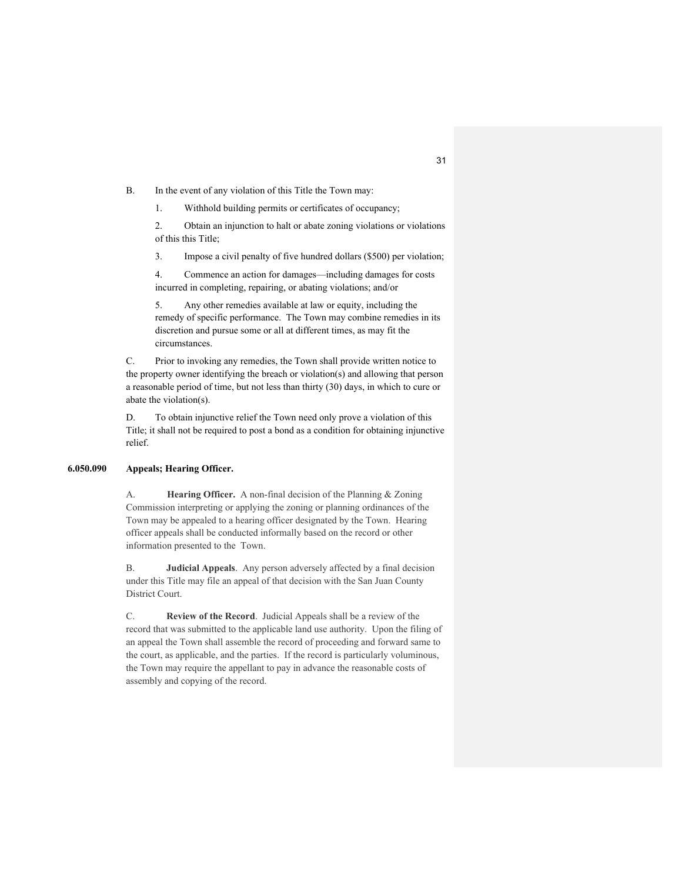B. In the event of any violation of this Title the Town may:

1. Withhold building permits or certificates of occupancy;

2. Obtain an injunction to halt or abate zoning violations or violations of this this Title;

3. Impose a civil penalty of five hundred dollars (\$500) per violation;

4. Commence an action for damages—including damages for costs incurred in completing, repairing, or abating violations; and/or

5. Any other remedies available at law or equity, including the remedy of specific performance. The Town may combine remedies in its discretion and pursue some or all at different times, as may fit the circumstances.

C. Prior to invoking any remedies, the Town shall provide written notice to the property owner identifying the breach or violation(s) and allowing that person a reasonable period of time, but not less than thirty (30) days, in which to cure or abate the violation(s).

D. To obtain injunctive relief the Town need only prove a violation of this Title; it shall not be required to post a bond as a condition for obtaining injunctive relief.

# **6.050.090 Appeals; Hearing Officer.**

A. **Hearing Officer.** A non-final decision of the Planning & Zoning Commission interpreting or applying the zoning or planning ordinances of the Town may be appealed to a hearing officer designated by the Town. Hearing officer appeals shall be conducted informally based on the record or other information presented to the Town.

B. **Judicial Appeals**. Any person adversely affected by a final decision under this Title may file an appeal of that decision with the San Juan County District Court.

C. **Review of the Record**. Judicial Appeals shall be a review of the record that was submitted to the applicable land use authority. Upon the filing of an appeal the Town shall assemble the record of proceeding and forward same to the court, as applicable, and the parties. If the record is particularly voluminous, the Town may require the appellant to pay in advance the reasonable costs of assembly and copying of the record.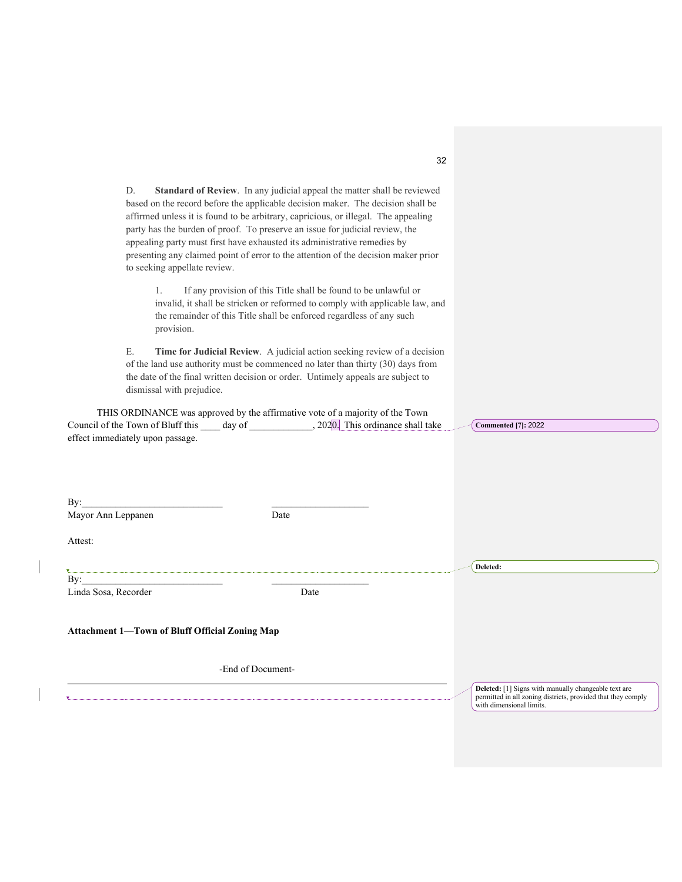| D.<br><b>Standard of Review.</b> In any judicial appeal the matter shall be reviewed<br>based on the record before the applicable decision maker. The decision shall be<br>affirmed unless it is found to be arbitrary, capricious, or illegal. The appealing<br>party has the burden of proof. To preserve an issue for judicial review, the<br>appealing party must first have exhausted its administrative remedies by<br>presenting any claimed point of error to the attention of the decision maker prior<br>to seeking appellate review. |                                                                                          |
|-------------------------------------------------------------------------------------------------------------------------------------------------------------------------------------------------------------------------------------------------------------------------------------------------------------------------------------------------------------------------------------------------------------------------------------------------------------------------------------------------------------------------------------------------|------------------------------------------------------------------------------------------|
| 1.<br>If any provision of this Title shall be found to be unlawful or<br>invalid, it shall be stricken or reformed to comply with applicable law, and<br>the remainder of this Title shall be enforced regardless of any such<br>provision.                                                                                                                                                                                                                                                                                                     |                                                                                          |
| Ε.<br>Time for Judicial Review. A judicial action seeking review of a decision<br>of the land use authority must be commenced no later than thirty (30) days from<br>the date of the final written decision or order. Untimely appeals are subject to<br>dismissal with prejudice.                                                                                                                                                                                                                                                              |                                                                                          |
| THIS ORDINANCE was approved by the affirmative vote of a majority of the Town<br>effect immediately upon passage.                                                                                                                                                                                                                                                                                                                                                                                                                               | <b>Commented</b> [7]: 2022                                                               |
| By:<br>Mayor Ann Leppanen<br>Date                                                                                                                                                                                                                                                                                                                                                                                                                                                                                                               |                                                                                          |
| Attest:                                                                                                                                                                                                                                                                                                                                                                                                                                                                                                                                         |                                                                                          |
|                                                                                                                                                                                                                                                                                                                                                                                                                                                                                                                                                 | Deleted:                                                                                 |
| By:<br>Linda Sosa, Recorder<br>Date                                                                                                                                                                                                                                                                                                                                                                                                                                                                                                             |                                                                                          |
| Attachment 1-Town of Bluff Official Zoning Map                                                                                                                                                                                                                                                                                                                                                                                                                                                                                                  |                                                                                          |
| -End of Document-                                                                                                                                                                                                                                                                                                                                                                                                                                                                                                                               | Deleted: [1] Signs with manually changeable text are                                     |
|                                                                                                                                                                                                                                                                                                                                                                                                                                                                                                                                                 | permitted in all zoning districts, provided that they comply<br>with dimensional limits. |